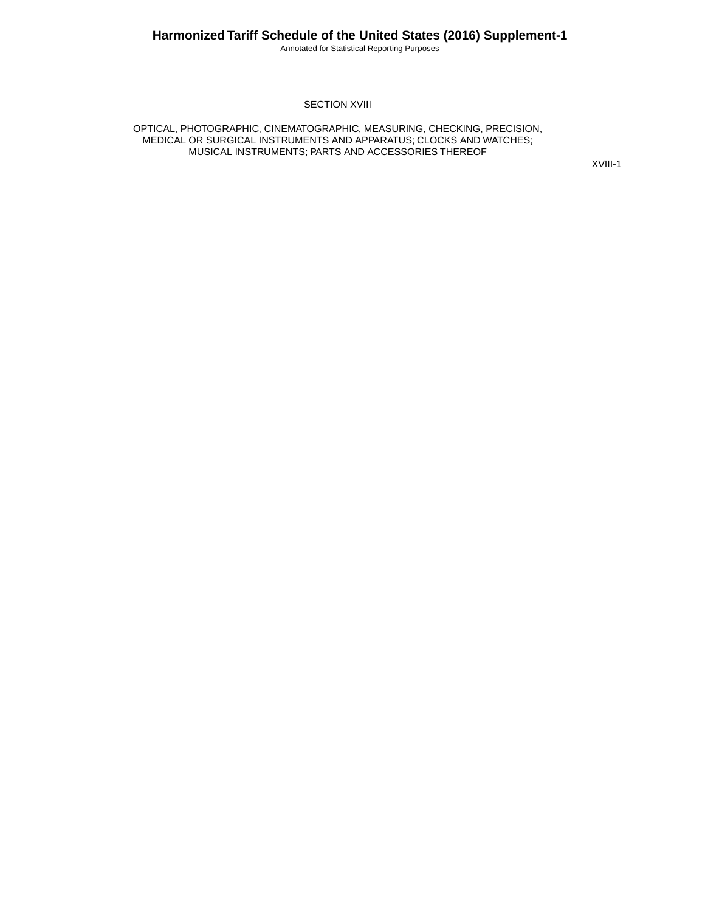Annotated for Statistical Reporting Purposes

#### **SECTION XVIII**

OPTICAL, PHOTOGRAPHIC, CINEMATOGRAPHIC, MEASURING, CHECKING, PRECISION, MEDICAL OR SURGICAL INSTRUMENTS AND APPARATUS; CLOCKS AND WATCHES; MUSICAL INSTRUMENTS; PARTS AND ACCESSORIES THEREOF

XVIII-1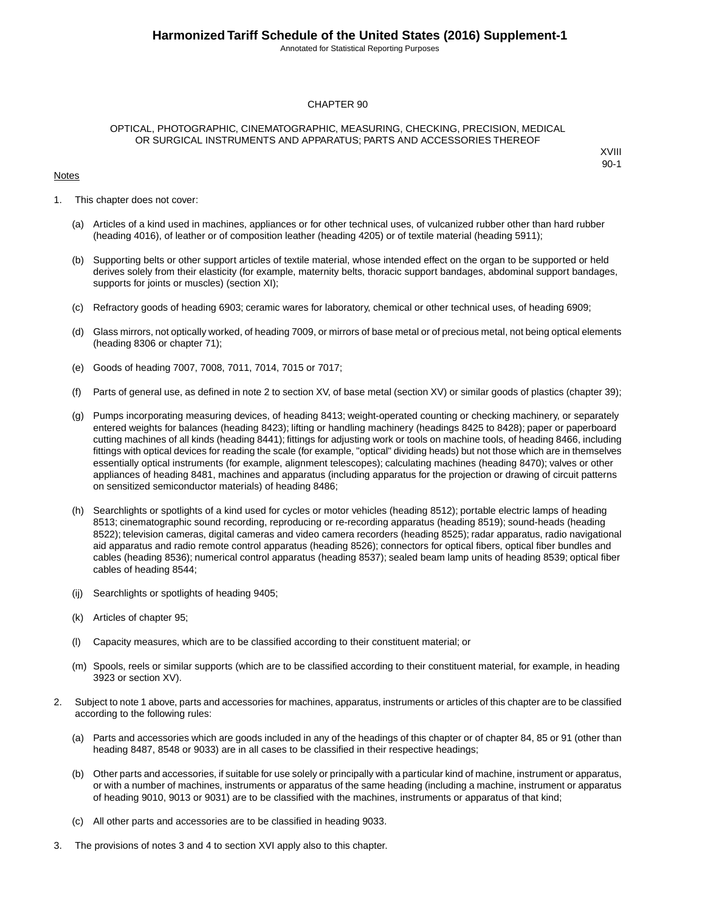Annotated for Statistical Reporting Purposes

#### CHAPTER 90

#### OPTICAL, PHOTOGRAPHIC, CINEMATOGRAPHIC, MEASURING, CHECKING, PRECISION, MEDICAL OR SURGICAL INSTRUMENTS AND APPARATUS; PARTS AND ACCESSORIES THEREOF

#### Notes

- 1. This chapter does not cover:
	- (a) Articles of a kind used in machines, appliances or for other technical uses, of vulcanized rubber other than hard rubber (heading 4016), of leather or of composition leather (heading 4205) or of textile material (heading 5911);
	- (b) Supporting belts or other support articles of textile material, whose intended effect on the organ to be supported or held derives solely from their elasticity (for example, maternity belts, thoracic support bandages, abdominal support bandages, supports for joints or muscles) (section XI);
	- (c) Refractory goods of heading 6903; ceramic wares for laboratory, chemical or other technical uses, of heading 6909;
	- (d) Glass mirrors, not optically worked, of heading 7009, or mirrors of base metal or of precious metal, not being optical elements (heading 8306 or chapter 71);
	- (e) Goods of heading 7007, 7008, 7011, 7014, 7015 or 7017;
	- (f) Parts of general use, as defined in note 2 to section XV, of base metal (section XV) or similar goods of plastics (chapter 39);
	- (g) Pumps incorporating measuring devices, of heading 8413; weight-operated counting or checking machinery, or separately entered weights for balances (heading 8423); lifting or handling machinery (headings 8425 to 8428); paper or paperboard cutting machines of all kinds (heading 8441); fittings for adjusting work or tools on machine tools, of heading 8466, including fittings with optical devices for reading the scale (for example, "optical" dividing heads) but not those which are in themselves essentially optical instruments (for example, alignment telescopes); calculating machines (heading 8470); valves or other appliances of heading 8481, machines and apparatus (including apparatus for the projection or drawing of circuit patterns on sensitized semiconductor materials) of heading 8486;
	- (h) Searchlights or spotlights of a kind used for cycles or motor vehicles (heading 8512); portable electric lamps of heading 8513; cinematographic sound recording, reproducing or re-recording apparatus (heading 8519); sound-heads (heading 8522); television cameras, digital cameras and video camera recorders (heading 8525); radar apparatus, radio navigational aid apparatus and radio remote control apparatus (heading 8526); connectors for optical fibers, optical fiber bundles and cables (heading 8536); numerical control apparatus (heading 8537); sealed beam lamp units of heading 8539; optical fiber cables of heading 8544;
	- (ij) Searchlights or spotlights of heading 9405;
	- (k) Articles of chapter 95;
	- (l) Capacity measures, which are to be classified according to their constituent material; or
	- (m) Spools, reels or similar supports (which are to be classified according to their constituent material, for example, in heading 3923 or section XV).
- 2. Subject to note 1 above, parts and accessories for machines, apparatus, instruments or articles of this chapter are to be classified according to the following rules:
	- (a) Parts and accessories which are goods included in any of the headings of this chapter or of chapter 84, 85 or 91 (other than heading 8487, 8548 or 9033) are in all cases to be classified in their respective headings;
	- (b) Other parts and accessories, if suitable for use solely or principally with a particular kind of machine, instrument or apparatus, or with a number of machines, instruments or apparatus of the same heading (including a machine, instrument or apparatus of heading 9010, 9013 or 9031) are to be classified with the machines, instruments or apparatus of that kind;
	- (c) All other parts and accessories are to be classified in heading 9033.
- 3. The provisions of notes 3 and 4 to section XVI apply also to this chapter.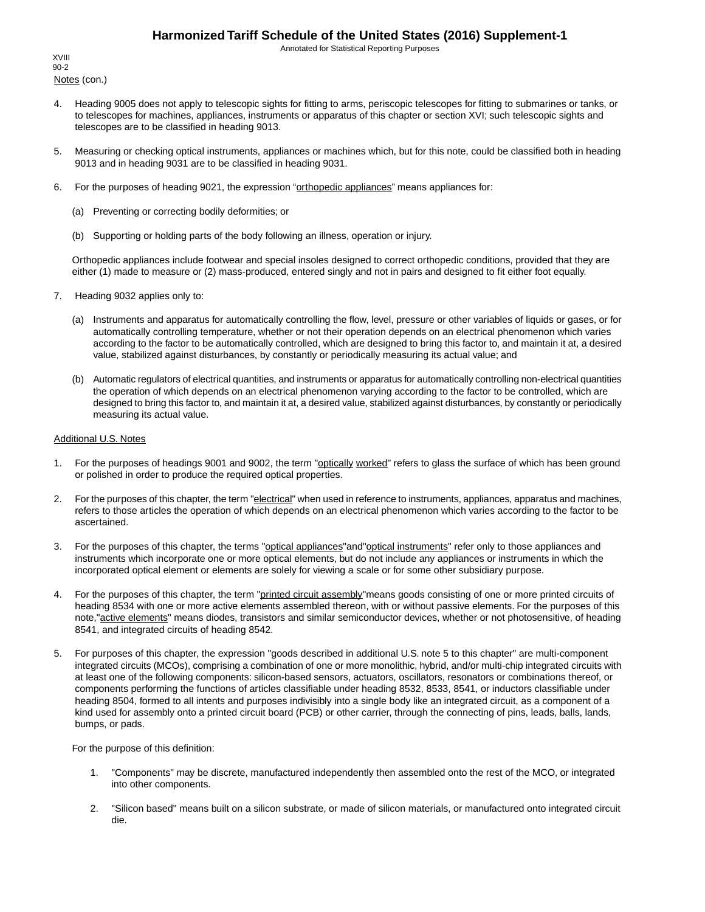Annotated for Statistical Reporting Purposes

Notes (con.) XVIII 90-2

- 4. Heading 9005 does not apply to telescopic sights for fitting to arms, periscopic telescopes for fitting to submarines or tanks, or to telescopes for machines, appliances, instruments or apparatus of this chapter or section XVI; such telescopic sights and telescopes are to be classified in heading 9013.
- 5. Measuring or checking optical instruments, appliances or machines which, but for this note, could be classified both in heading 9013 and in heading 9031 are to be classified in heading 9031.
- 6. For the purposes of heading 9021, the expression "orthopedic appliances" means appliances for:
	- (a) Preventing or correcting bodily deformities; or
	- (b) Supporting or holding parts of the body following an illness, operation or injury.

Orthopedic appliances include footwear and special insoles designed to correct orthopedic conditions, provided that they are either (1) made to measure or (2) mass-produced, entered singly and not in pairs and designed to fit either foot equally.

- 7. Heading 9032 applies only to:
	- (a) Instruments and apparatus for automatically controlling the flow, level, pressure or other variables of liquids or gases, or for automatically controlling temperature, whether or not their operation depends on an electrical phenomenon which varies according to the factor to be automatically controlled, which are designed to bring this factor to, and maintain it at, a desired value, stabilized against disturbances, by constantly or periodically measuring its actual value; and
	- (b) Automatic regulators of electrical quantities, and instruments or apparatus for automatically controlling non-electrical quantities the operation of which depends on an electrical phenomenon varying according to the factor to be controlled, which are designed to bring this factor to, and maintain it at, a desired value, stabilized against disturbances, by constantly or periodically measuring its actual value.

#### Additional U.S. Notes

- 1. For the purposes of headings 9001 and 9002, the term "optically worked" refers to glass the surface of which has been ground or polished in order to produce the required optical properties.
- 2. For the purposes of this chapter, the term "electrical" when used in reference to instruments, appliances, apparatus and machines, refers to those articles the operation of which depends on an electrical phenomenon which varies according to the factor to be ascertained.
- 3. For the purposes of this chapter, the terms "optical appliances"and"optical instruments" refer only to those appliances and instruments which incorporate one or more optical elements, but do not include any appliances or instruments in which the incorporated optical element or elements are solely for viewing a scale or for some other subsidiary purpose.
- 4. For the purposes of this chapter, the term "printed circuit assembly" means goods consisting of one or more printed circuits of heading 8534 with one or more active elements assembled thereon, with or without passive elements. For the purposes of this note,"active elements" means diodes, transistors and similar semiconductor devices, whether or not photosensitive, of heading 8541, and integrated circuits of heading 8542.
- 5. For purposes of this chapter, the expression "goods described in additional U.S. note 5 to this chapter" are multi-component integrated circuits (MCOs), comprising a combination of one or more monolithic, hybrid, and/or multi-chip integrated circuits with at least one of the following components: silicon-based sensors, actuators, oscillators, resonators or combinations thereof, or components performing the functions of articles classifiable under heading 8532, 8533, 8541, or inductors classifiable under heading 8504, formed to all intents and purposes indivisibly into a single body like an integrated circuit, as a component of a kind used for assembly onto a printed circuit board (PCB) or other carrier, through the connecting of pins, leads, balls, lands, bumps, or pads.

For the purpose of this definition:

- 1. "Components" may be discrete, manufactured independently then assembled onto the rest of the MCO, or integrated into other components.
- 2. "Silicon based" means built on a silicon substrate, or made of silicon materials, or manufactured onto integrated circuit die.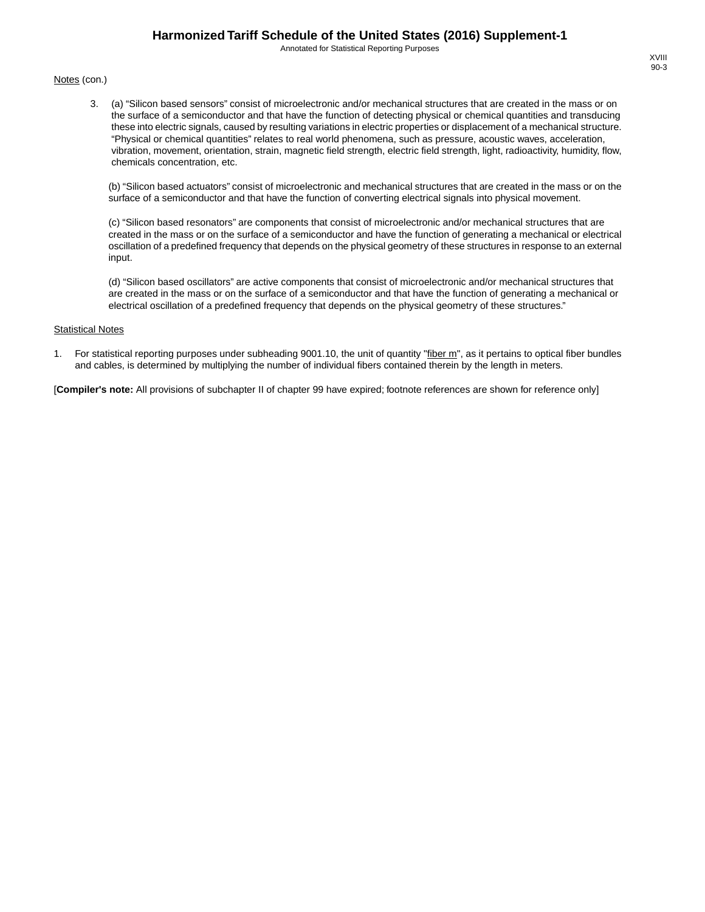Annotated for Statistical Reporting Purposes

#### Notes (con.)

3. (a) "Silicon based sensors" consist of microelectronic and/or mechanical structures that are created in the mass or on the surface of a semiconductor and that have the function of detecting physical or chemical quantities and transducing these into electric signals, caused by resulting variations in electric properties or displacement of a mechanical structure. "Physical or chemical quantities" relates to real world phenomena, such as pressure, acoustic waves, acceleration, vibration, movement, orientation, strain, magnetic field strength, electric field strength, light, radioactivity, humidity, flow, chemicals concentration, etc.

(b) "Silicon based actuators" consist of microelectronic and mechanical structures that are created in the mass or on the surface of a semiconductor and that have the function of converting electrical signals into physical movement.

(c) "Silicon based resonators" are components that consist of microelectronic and/or mechanical structures that are created in the mass or on the surface of a semiconductor and have the function of generating a mechanical or electrical oscillation of a predefined frequency that depends on the physical geometry of these structures in response to an external input.

(d) "Silicon based oscillators" are active components that consist of microelectronic and/or mechanical structures that are created in the mass or on the surface of a semiconductor and that have the function of generating a mechanical or electrical oscillation of a predefined frequency that depends on the physical geometry of these structures."

#### **Statistical Notes**

1. For statistical reporting purposes under subheading 9001.10, the unit of quantity "fiber m", as it pertains to optical fiber bundles and cables, is determined by multiplying the number of individual fibers contained therein by the length in meters.

[**Compiler's note:** All provisions of subchapter II of chapter 99 have expired; footnote references are shown for reference only]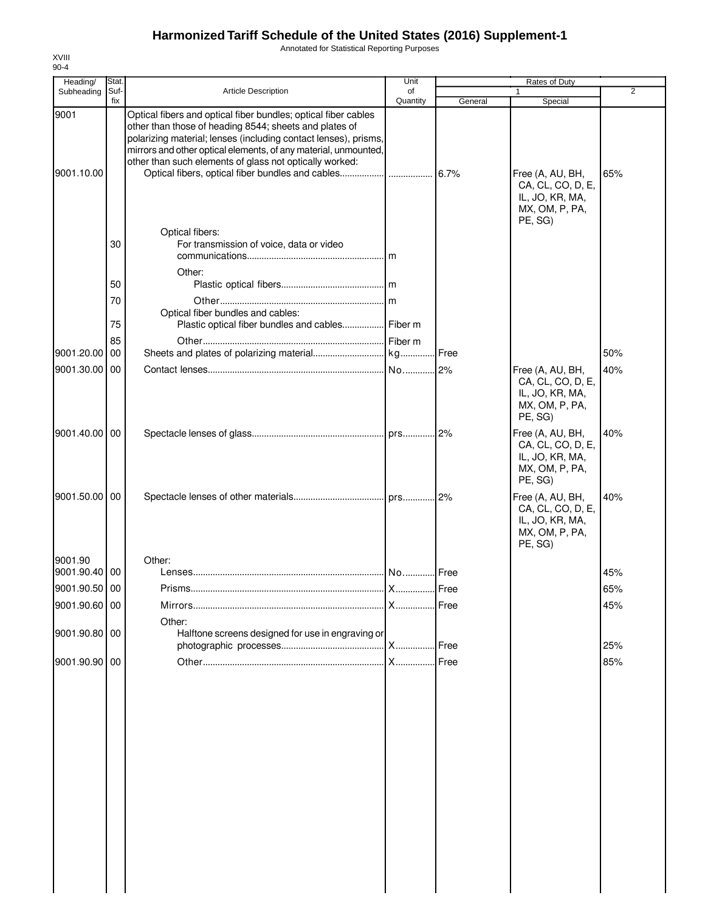Annotated for Statistical Reporting Purposes

| Heading/           | Stat.       |                                                                                                                                                                                                                                                                                                                           | Unit           |         | Rates of Duty                                                                         |     |
|--------------------|-------------|---------------------------------------------------------------------------------------------------------------------------------------------------------------------------------------------------------------------------------------------------------------------------------------------------------------------------|----------------|---------|---------------------------------------------------------------------------------------|-----|
| Subheading         | Suf-<br>fix | <b>Article Description</b>                                                                                                                                                                                                                                                                                                | of<br>Quantity | General | 1<br>Special                                                                          | 2   |
| 9001<br>9001.10.00 |             | Optical fibers and optical fiber bundles; optical fiber cables<br>other than those of heading 8544; sheets and plates of<br>polarizing material; lenses (including contact lenses), prisms,<br>mirrors and other optical elements, of any material, unmounted,<br>other than such elements of glass not optically worked: |                | 6.7%    | Free (A, AU, BH,<br>CA, CL, CO, D, E,<br>IL, JO, KR, MA,<br>MX, OM, P, PA,<br>PE, SG) | 65% |
|                    | 30          | Optical fibers:<br>For transmission of voice, data or video<br>Other:                                                                                                                                                                                                                                                     |                |         |                                                                                       |     |
|                    | 50          |                                                                                                                                                                                                                                                                                                                           |                |         |                                                                                       |     |
|                    | 70          |                                                                                                                                                                                                                                                                                                                           |                |         |                                                                                       |     |
|                    | 75          | Optical fiber bundles and cables:<br>Plastic optical fiber bundles and cables Fiber m                                                                                                                                                                                                                                     |                |         |                                                                                       |     |
| 9001.20.00         | 85<br>00    |                                                                                                                                                                                                                                                                                                                           |                |         |                                                                                       | 50% |
| 9001.30.00 00      |             |                                                                                                                                                                                                                                                                                                                           |                |         | Free (A, AU, BH,                                                                      | 40% |
|                    |             |                                                                                                                                                                                                                                                                                                                           |                |         | CA, CL, CO, D, E,<br>IL, JO, KR, MA,<br>MX, OM, P, PA,<br>PE, SG)                     |     |
| 9001.40.00 00      |             |                                                                                                                                                                                                                                                                                                                           |                |         | Free (A, AU, BH,<br>CA, CL, CO, D, E,<br>IL, JO, KR, MA,<br>MX, OM, P, PA,<br>PE, SG) | 40% |
| 9001.50.00 00      |             |                                                                                                                                                                                                                                                                                                                           |                |         | Free (A, AU, BH,<br>CA, CL, CO, D, E,<br>IL, JO, KR, MA,<br>MX, OM, P, PA,<br>PE, SG) | 40% |
| 9001.90            |             | Other:                                                                                                                                                                                                                                                                                                                    |                |         |                                                                                       |     |
| 9001.90.40 00      |             |                                                                                                                                                                                                                                                                                                                           |                | Free    |                                                                                       | 45% |
| 9001.90.50 00      |             | Prisms                                                                                                                                                                                                                                                                                                                    |                |         |                                                                                       | 65% |
| 9001.90.60 00      |             |                                                                                                                                                                                                                                                                                                                           |                | Free    |                                                                                       | 45% |
| 9001.90.80 00      |             | Other:<br>Halftone screens designed for use in engraving or                                                                                                                                                                                                                                                               |                |         |                                                                                       | 25% |
| 9001.90.90 00      |             |                                                                                                                                                                                                                                                                                                                           |                | Free    |                                                                                       | 85% |
|                    |             |                                                                                                                                                                                                                                                                                                                           |                |         |                                                                                       |     |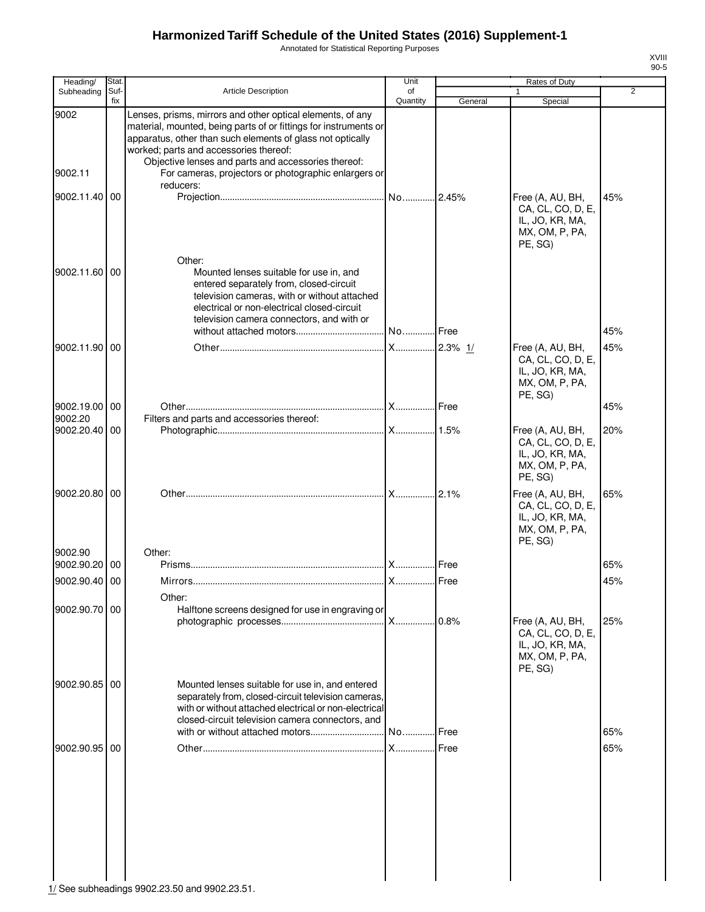Annotated for Statistical Reporting Purposes

| Heading/        | Stat.           |                                                                                                                                                                                                                                                                                                                                                       | Unit           |             | Rates of Duty                                                                         |                |
|-----------------|-----------------|-------------------------------------------------------------------------------------------------------------------------------------------------------------------------------------------------------------------------------------------------------------------------------------------------------------------------------------------------------|----------------|-------------|---------------------------------------------------------------------------------------|----------------|
| Subheading      | Suf-<br>fix     | Article Description                                                                                                                                                                                                                                                                                                                                   | of<br>Quantity | General     | 1<br>Special                                                                          | $\overline{2}$ |
| 9002<br>9002.11 |                 | Lenses, prisms, mirrors and other optical elements, of any<br>material, mounted, being parts of or fittings for instruments or<br>apparatus, other than such elements of glass not optically<br>worked; parts and accessories thereof:<br>Objective lenses and parts and accessories thereof:<br>For cameras, projectors or photographic enlargers or |                |             |                                                                                       |                |
| 9002.11.40 00   |                 | reducers:                                                                                                                                                                                                                                                                                                                                             |                |             | Free (A, AU, BH,<br>CA, CL, CO, D, E,<br>IL, JO, KR, MA,<br>MX, OM, P, PA,<br>PE, SG) | 45%            |
| 9002.11.60      | $\overline{00}$ | Other:<br>Mounted lenses suitable for use in, and<br>entered separately from, closed-circuit<br>television cameras, with or without attached<br>electrical or non-electrical closed-circuit<br>television camera connectors, and with or                                                                                                              |                |             |                                                                                       |                |
|                 |                 |                                                                                                                                                                                                                                                                                                                                                       | No Free        |             |                                                                                       | 45%            |
| 9002.11.90 00   |                 |                                                                                                                                                                                                                                                                                                                                                       |                |             | Free (A, AU, BH,<br>CA, CL, CO, D, E,<br>IL, JO, KR, MA,<br>MX, OM, P, PA,<br>PE, SG) | 45%            |
| 9002.19.00 00   |                 |                                                                                                                                                                                                                                                                                                                                                       |                |             |                                                                                       | 45%            |
| 9002.20         |                 | Filters and parts and accessories thereof:                                                                                                                                                                                                                                                                                                            |                |             |                                                                                       |                |
| 9002.20.40 00   |                 |                                                                                                                                                                                                                                                                                                                                                       |                |             | Free (A, AU, BH,<br>CA, CL, CO, D, E,<br>IL, JO, KR, MA,<br>MX, OM, P, PA,<br>PE, SG) | 20%            |
| 9002.20.80 00   |                 |                                                                                                                                                                                                                                                                                                                                                       |                |             | Free (A, AU, BH,<br>CA, CL, CO, D, E,<br>IL, JO, KR, MA,<br>MX, OM, P, PA,<br>PE, SG) | 65%            |
| 9002.90         |                 | Other:                                                                                                                                                                                                                                                                                                                                                |                |             |                                                                                       |                |
| 9002.90.20 00   |                 |                                                                                                                                                                                                                                                                                                                                                       |                |             |                                                                                       | 65%            |
| 9002.90.40      | 00              |                                                                                                                                                                                                                                                                                                                                                       |                |             |                                                                                       | 45%            |
|                 |                 | Other:                                                                                                                                                                                                                                                                                                                                                |                |             |                                                                                       |                |
| 9002.90.70 00   |                 | Halftone screens designed for use in engraving or                                                                                                                                                                                                                                                                                                     | X              | 0.8%        | Free (A, AU, BH,<br>CA, CL, CO, D, E,<br>IL, JO, KR, MA,<br>MX, OM, P, PA,<br>PE, SG) | 25%            |
| 9002.90.85 00   |                 | Mounted lenses suitable for use in, and entered<br>separately from, closed-circuit television cameras,<br>with or without attached electrical or non-electrical<br>closed-circuit television camera connectors, and<br>with or without attached motors                                                                                                | No             | <b>Free</b> |                                                                                       | 65%            |
| 9002.90.95 00   |                 |                                                                                                                                                                                                                                                                                                                                                       | <b>X</b>       | Free        |                                                                                       | 65%            |
|                 |                 |                                                                                                                                                                                                                                                                                                                                                       |                |             |                                                                                       |                |

 $\frac{1}{11}$  See subheadings 9902.23.50 and 9902.23.51.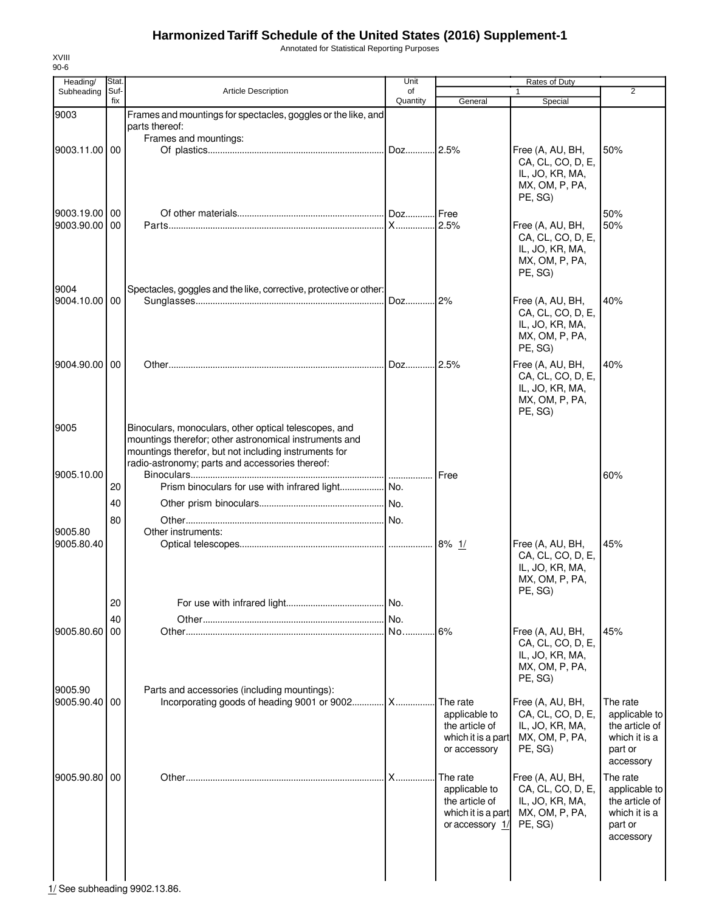Annotated for Statistical Reporting Purposes

| General                                                     | Special                                                                               | $\overline{2}$                                                                             |
|-------------------------------------------------------------|---------------------------------------------------------------------------------------|--------------------------------------------------------------------------------------------|
|                                                             |                                                                                       |                                                                                            |
|                                                             |                                                                                       |                                                                                            |
|                                                             |                                                                                       |                                                                                            |
| Doz 2.5%                                                    | Free (A, AU, BH,<br>CA, CL, CO, D, E,<br>IL, JO, KR, MA,<br>MX, OM, P, PA,<br>PE, SG) | 50%                                                                                        |
| .I Free                                                     |                                                                                       | 50%                                                                                        |
| 2.5%                                                        | Free (A, AU, BH,<br>CA, CL, CO, D, E,<br>IL, JO, KR, MA,<br>MX, OM, P, PA,<br>PE, SG) | 50%                                                                                        |
|                                                             |                                                                                       |                                                                                            |
| Doz 2%                                                      | Free (A, AU, BH,<br>CA, CL, CO, D, E,<br>IL, JO, KR, MA,<br>MX, OM, P, PA,<br>PE, SG) | 40%                                                                                        |
| 12.5%                                                       | Free (A, AU, BH,<br>CA, CL, CO, D, E,<br>IL, JO, KR, MA,<br>MX, OM, P, PA,<br>PE, SG) | 40%                                                                                        |
|                                                             |                                                                                       |                                                                                            |
| <b>Free</b>                                                 |                                                                                       | 60%                                                                                        |
|                                                             |                                                                                       |                                                                                            |
|                                                             |                                                                                       |                                                                                            |
|                                                             |                                                                                       |                                                                                            |
|                                                             |                                                                                       |                                                                                            |
|                                                             | CA, CL, CO, D, E,<br>IL, JO, KR, MA,<br>MX, OM, P, PA,                                | 45%                                                                                        |
|                                                             |                                                                                       |                                                                                            |
|                                                             |                                                                                       |                                                                                            |
| .6%                                                         | Free (A, AU, BH,<br>CA, CL, CO, D, E,<br>IL, JO, KR, MA,<br>MX, OM, P, PA,<br>PE, SG) | 45%                                                                                        |
| The rate<br>applicable to<br>the article of<br>or accessory | Free (A, AU, BH,<br>CA, CL, CO, D, E,<br>IL, JO, KR, MA,<br>MX, OM, P, PA,<br>PE, SG) | The rate<br>applicable to<br>the article of<br>which it is a<br>part or<br>accessory       |
| The rate<br>applicable to<br>the article of                 | Free (A, AU, BH,<br>CA, CL, CO, D, E,<br>IL, JO, KR, MA,<br>MX, OM, P, PA,<br>PE, SG) | The rate<br>applicable to<br>the article of<br>which it is a<br>part or<br>accessory       |
| Incorporating goods of heading 9001 or 9002 X               | X                                                                                     | Free (A, AU, BH,<br>PE, SG)<br>which it is a part<br>which it is a part<br>or accessory 1/ |

 $\frac{1}{11}$  See subheading 9902.13.86.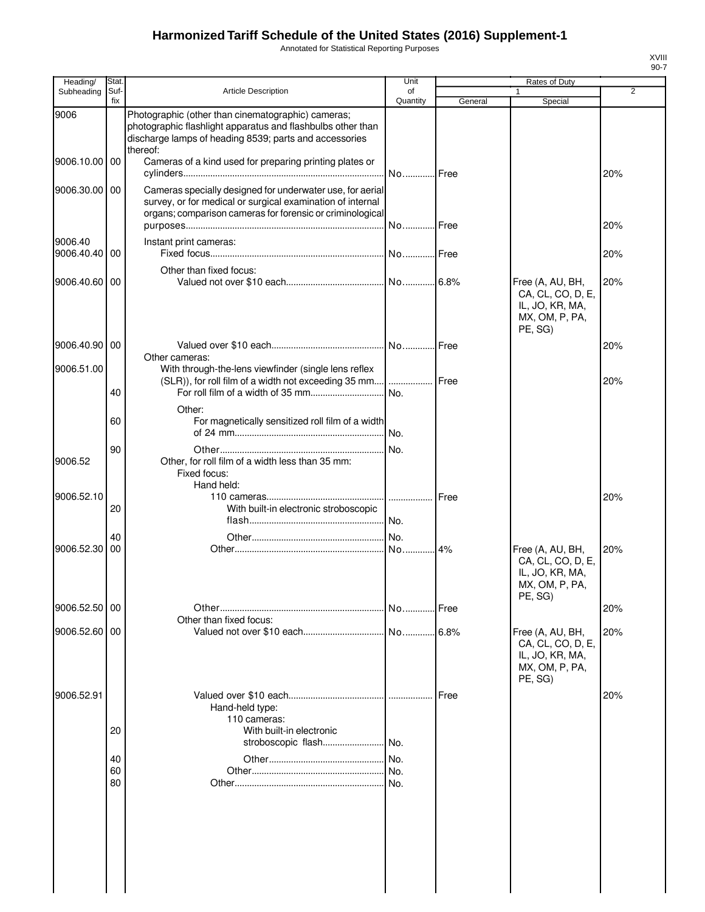Annotated for Statistical Reporting Purposes

| Heading/                 | Stat.       |                                                                                                                                                                                         | Unit           |         | <b>Rates of Duty</b>                                                                  |                |
|--------------------------|-------------|-----------------------------------------------------------------------------------------------------------------------------------------------------------------------------------------|----------------|---------|---------------------------------------------------------------------------------------|----------------|
| Subheading               | Suf-<br>fix | <b>Article Description</b>                                                                                                                                                              | of<br>Quantity | General | 1<br>Special                                                                          | $\overline{2}$ |
| 9006                     |             | Photographic (other than cinematographic) cameras;<br>photographic flashlight apparatus and flashbulbs other than<br>discharge lamps of heading 8539; parts and accessories<br>thereof: |                |         |                                                                                       |                |
| 9006.10.00               | 00          | Cameras of a kind used for preparing printing plates or                                                                                                                                 |                | Free    |                                                                                       | 20%            |
| 9006.30.00               | 00          | Cameras specially designed for underwater use, for aerial<br>survey, or for medical or surgical examination of internal<br>organs; comparison cameras for forensic or criminological    |                | Free    |                                                                                       | 20%            |
| 9006.40<br>9006.40.40 00 |             | Instant print cameras:                                                                                                                                                                  |                |         |                                                                                       | 20%            |
|                          |             | Other than fixed focus:                                                                                                                                                                 |                |         |                                                                                       |                |
| 9006.40.60               | 00          |                                                                                                                                                                                         |                |         | Free (A, AU, BH,<br>CA, CL, CO, D, E,<br>IL, JO, KR, MA,<br>MX, OM, P, PA,<br>PE, SG) | 20%            |
| 9006.40.90 00            |             | Other cameras:                                                                                                                                                                          |                | Free    |                                                                                       | 20%            |
| 9006.51.00               |             | With through-the-lens viewfinder (single lens reflex                                                                                                                                    |                |         |                                                                                       |                |
|                          | 40          | (SLR)), for roll film of a width not exceeding 35 mm  Free                                                                                                                              | No.            |         |                                                                                       | 20%            |
|                          | 60          | Other:<br>For magnetically sensitized roll film of a width                                                                                                                              |                |         |                                                                                       |                |
|                          |             |                                                                                                                                                                                         |                |         |                                                                                       |                |
| 9006.52                  | 90          | Other, for roll film of a width less than 35 mm:<br>Fixed focus:<br>Hand held:                                                                                                          |                |         |                                                                                       |                |
| 9006.52.10               | 20          | With built-in electronic stroboscopic                                                                                                                                                   | .              | Free    |                                                                                       | 20%            |
|                          |             |                                                                                                                                                                                         |                |         |                                                                                       |                |
|                          | 40          |                                                                                                                                                                                         |                |         |                                                                                       |                |
| 9006.52.30               | 00          |                                                                                                                                                                                         | No             | 4%      | Free (A, AU, BH,<br>CA, CL, CO, D, E,<br>IL, JO, KR, MA,<br>MX, OM, P, PA,<br>PE, SG) | 20%            |
| 9006.52.50               | 00          | Other than fixed focus:                                                                                                                                                                 |                | Free    |                                                                                       | 20%            |
| 9006.52.60 00            |             |                                                                                                                                                                                         |                |         | Free (A, AU, BH,<br>CA, CL, CO, D, E,<br>IL, JO, KR, MA,<br>MX, OM, P, PA,<br>PE, SG) | 20%            |
| 9006.52.91               |             | Hand-held type:<br>110 cameras:                                                                                                                                                         |                | Free    |                                                                                       | 20%            |
|                          | 20          | With built-in electronic                                                                                                                                                                |                |         |                                                                                       |                |
|                          |             | stroboscopic flash                                                                                                                                                                      | No.            |         |                                                                                       |                |
|                          | 40<br>60    |                                                                                                                                                                                         | No.<br>No.     |         |                                                                                       |                |
|                          | 80          |                                                                                                                                                                                         |                |         |                                                                                       |                |
|                          |             |                                                                                                                                                                                         |                |         |                                                                                       |                |

XVIII 90-7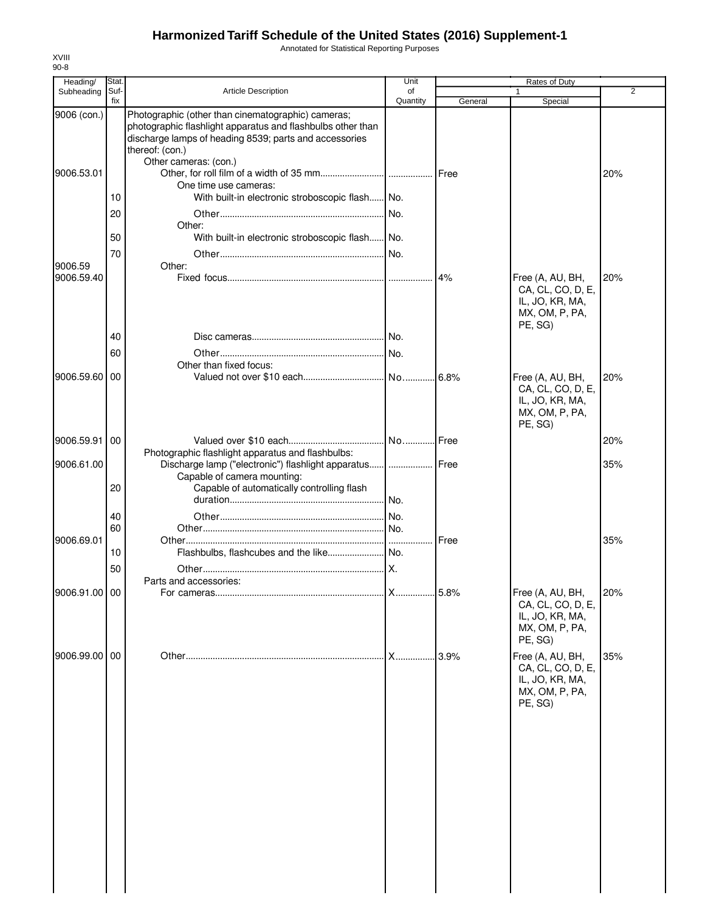Annotated for Statistical Reporting Purposes

| Heading/                  | Stat.                |                                                                                                                                                                                                                                                                                                     | Unit           |              | Rates of Duty                                                                         |                |
|---------------------------|----------------------|-----------------------------------------------------------------------------------------------------------------------------------------------------------------------------------------------------------------------------------------------------------------------------------------------------|----------------|--------------|---------------------------------------------------------------------------------------|----------------|
| Subheading                | Suf-<br>fix          | <b>Article Description</b>                                                                                                                                                                                                                                                                          | of<br>Quantity | General      | 1                                                                                     | $\overline{2}$ |
| 9006 (con.)<br>9006.53.01 | 10                   | Photographic (other than cinematographic) cameras;<br>photographic flashlight apparatus and flashbulbs other than<br>discharge lamps of heading 8539; parts and accessories<br>thereof: (con.)<br>Other cameras: (con.)<br>One time use cameras:<br>With built-in electronic stroboscopic flash No. |                |              | Special                                                                               | 20%            |
| 9006.59                   | 20<br>50<br>70       | Other:<br>With built-in electronic stroboscopic flash No.<br>Other:                                                                                                                                                                                                                                 | No.            |              |                                                                                       |                |
| 9006.59.40                | 40<br>60             |                                                                                                                                                                                                                                                                                                     | No.<br>No.     | 4%           | Free (A, AU, BH,<br>CA, CL, CO, D, E,<br>IL, JO, KR, MA,<br>MX, OM, P, PA,<br>PE, SG) | 20%            |
| 9006.59.60 00             |                      | Other than fixed focus:                                                                                                                                                                                                                                                                             |                | .16.8%       | Free (A, AU, BH,<br>CA, CL, CO, D, E,<br>IL, JO, KR, MA,<br>MX, OM, P, PA,<br>PE, SG) | 20%            |
| 9006.59.91 00             |                      |                                                                                                                                                                                                                                                                                                     | No Free        |              |                                                                                       | 20%            |
| 9006.61.00                | 20                   | Photographic flashlight apparatus and flashbulbs:<br>Discharge lamp ("electronic") flashlight apparatus  Free<br>Capable of camera mounting:<br>Capable of automatically controlling flash                                                                                                          | No.            |              |                                                                                       | 35%            |
| 9006.69.01                | 40<br>60<br>10<br>50 |                                                                                                                                                                                                                                                                                                     | No.<br>.IX.    | <b>IFree</b> |                                                                                       | 35%            |
| 9006.91.00 00             |                      | Parts and accessories:                                                                                                                                                                                                                                                                              |                |              | Free (A, AU, BH,<br>CA, CL, CO, D, E,<br>IL, JO, KR, MA,<br>MX, OM, P, PA,<br>PE, SG) | 20%            |
| 9006.99.00 00             |                      |                                                                                                                                                                                                                                                                                                     |                |              | Free (A, AU, BH,<br>CA, CL, CO, D, E,<br>IL, JO, KR, MA,<br>MX, OM, P, PA,<br>PE, SG) | 35%            |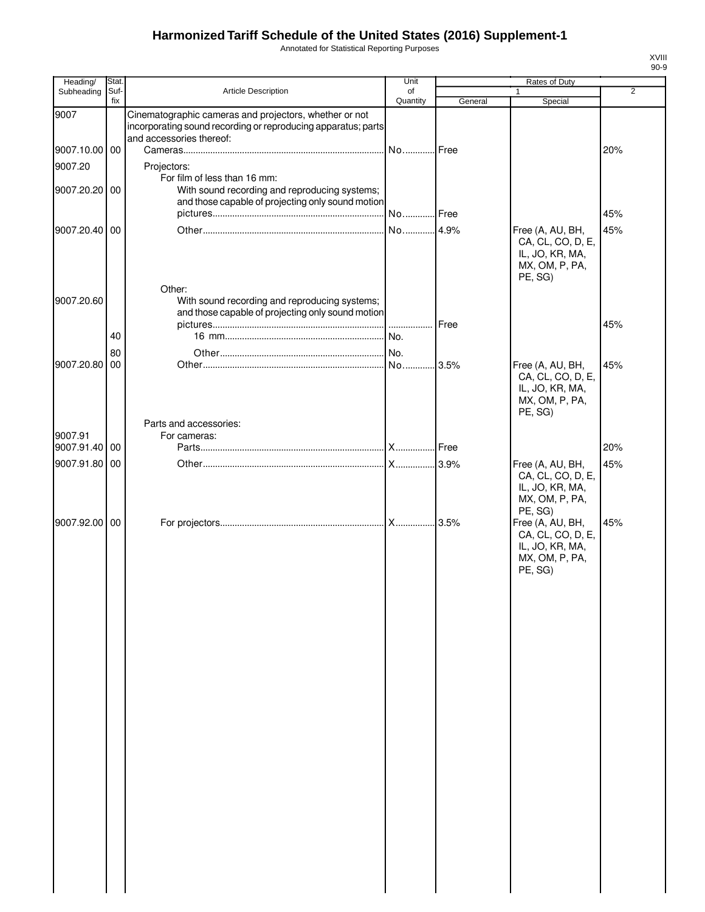Annotated for Statistical Reporting Purposes

| Heading/      | Stat.       |                                                                                                                                    | Unit           |         | Rates of Duty                                                                                                                                   |     |
|---------------|-------------|------------------------------------------------------------------------------------------------------------------------------------|----------------|---------|-------------------------------------------------------------------------------------------------------------------------------------------------|-----|
| Subheading    | Suf-<br>fix | Article Description                                                                                                                | of<br>Quantity | General | $\mathbf{1}$<br>Special                                                                                                                         | 2   |
| 9007          |             | Cinematographic cameras and projectors, whether or not<br>incorporating sound recording or reproducing apparatus; parts            |                |         |                                                                                                                                                 |     |
| 9007.10.00 00 |             | and accessories thereof:                                                                                                           | No Free        |         |                                                                                                                                                 | 20% |
| 9007.20       |             | Projectors:                                                                                                                        |                |         |                                                                                                                                                 |     |
| 9007.20.20 00 |             | For film of less than 16 mm:<br>With sound recording and reproducing systems;<br>and those capable of projecting only sound motion |                |         |                                                                                                                                                 |     |
|               |             |                                                                                                                                    | No Free        |         |                                                                                                                                                 | 45% |
| 9007.20.40 00 |             | Other:                                                                                                                             |                |         | Free (A, AU, BH,<br>CA, CL, CO, D, E,<br>IL, JO, KR, MA,<br>MX, OM, P, PA,<br>PE, SG)                                                           | 45% |
| 9007.20.60    |             | With sound recording and reproducing systems;<br>and those capable of projecting only sound motion                                 |                |         |                                                                                                                                                 |     |
|               | 40          |                                                                                                                                    |                | Free    |                                                                                                                                                 | 45% |
|               |             |                                                                                                                                    |                |         |                                                                                                                                                 |     |
| 9007.20.80    | 80<br>00    |                                                                                                                                    |                | 3.5%    | Free (A, AU, BH,                                                                                                                                | 45% |
|               |             |                                                                                                                                    |                |         | CA, CL, CO, D, E,<br>IL, JO, KR, MA,<br>MX, OM, P, PA,<br>PE, SG)                                                                               |     |
| 9007.91       |             | Parts and accessories:<br>For cameras:                                                                                             |                |         |                                                                                                                                                 |     |
| 9007.91.40 00 |             |                                                                                                                                    |                |         |                                                                                                                                                 | 20% |
| 9007.91.80 00 |             |                                                                                                                                    |                |         | Free (A, AU, BH,                                                                                                                                | 45% |
| 9007.92.00 00 |             |                                                                                                                                    |                |         | CA, CL, CO, D, E,<br>IL, JO, KR, MA,<br>MX, OM, P, PA,<br>PE, SG)<br>Free (A, AU, BH,<br>CA, CL, CO, D, E,<br>IL, JO, KR, MA,<br>MX, OM, P, PA, | 45% |
|               |             |                                                                                                                                    |                |         | PE, SG)                                                                                                                                         |     |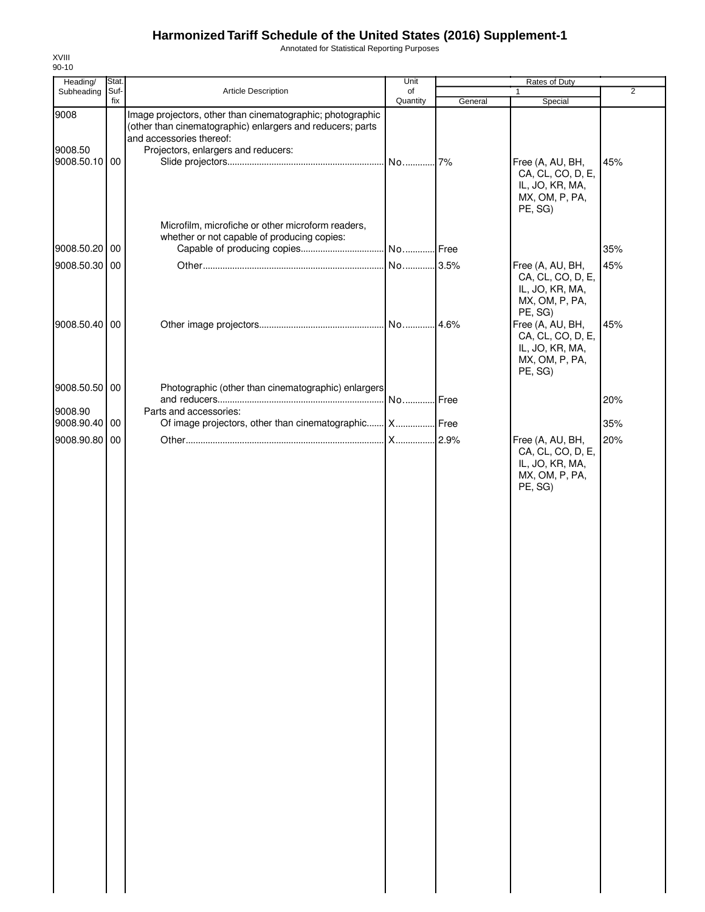Annotated for Statistical Reporting Purposes

| Heading/                         | Stat.       |                                                                                                                                                                                             | Unit           |         | Rates of Duty                                                                         |                |
|----------------------------------|-------------|---------------------------------------------------------------------------------------------------------------------------------------------------------------------------------------------|----------------|---------|---------------------------------------------------------------------------------------|----------------|
| Subheading                       | Suf-<br>fix | Article Description                                                                                                                                                                         | of<br>Quantity | General | $\mathbf{1}$<br>Special                                                               | $\overline{2}$ |
| 9008<br>9008.50<br>9008.50.10 00 |             | Image projectors, other than cinematographic; photographic<br>(other than cinematographic) enlargers and reducers; parts<br>and accessories thereof:<br>Projectors, enlargers and reducers: |                |         | Free (A, AU, BH,<br>CA, CL, CO, D, E,<br>IL, JO, KR, MA,<br>MX, OM, P, PA,<br>PE, SG) | 45%            |
| 9008.50.20 00                    |             | Microfilm, microfiche or other microform readers,<br>whether or not capable of producing copies:<br>Capable of producing copies                                                             | No Free        |         |                                                                                       | 35%            |
|                                  |             |                                                                                                                                                                                             |                |         |                                                                                       |                |
| 9008.50.30 00                    |             |                                                                                                                                                                                             | No 3.5%        |         | Free (A, AU, BH,<br>CA, CL, CO, D, E,<br>IL, JO, KR, MA,<br>MX, OM, P, PA,<br>PE, SG) | 45%            |
| 9008.50.40 00                    |             |                                                                                                                                                                                             |                |         | Free (A, AU, BH,<br>CA, CL, CO, D, E,<br>IL, JO, KR, MA,<br>MX, OM, P, PA,<br>PE, SG) | 45%            |
| 9008.50.50 00                    |             | Photographic (other than cinematographic) enlargers                                                                                                                                         | No             | Free    |                                                                                       | 20%            |
| 9008.90<br>9008.90.40            | 00          | Parts and accessories:<br>Of image projectors, other than cinematographic X Free                                                                                                            |                |         |                                                                                       | 35%            |
| 9008.90.80 00                    |             |                                                                                                                                                                                             |                |         | Free (A, AU, BH,                                                                      | 20%            |
|                                  |             |                                                                                                                                                                                             |                |         | CA, CL, CO, D, E,<br>IL, JO, KR, MA,<br>MX, OM, P, PA,<br>PE, SG)                     |                |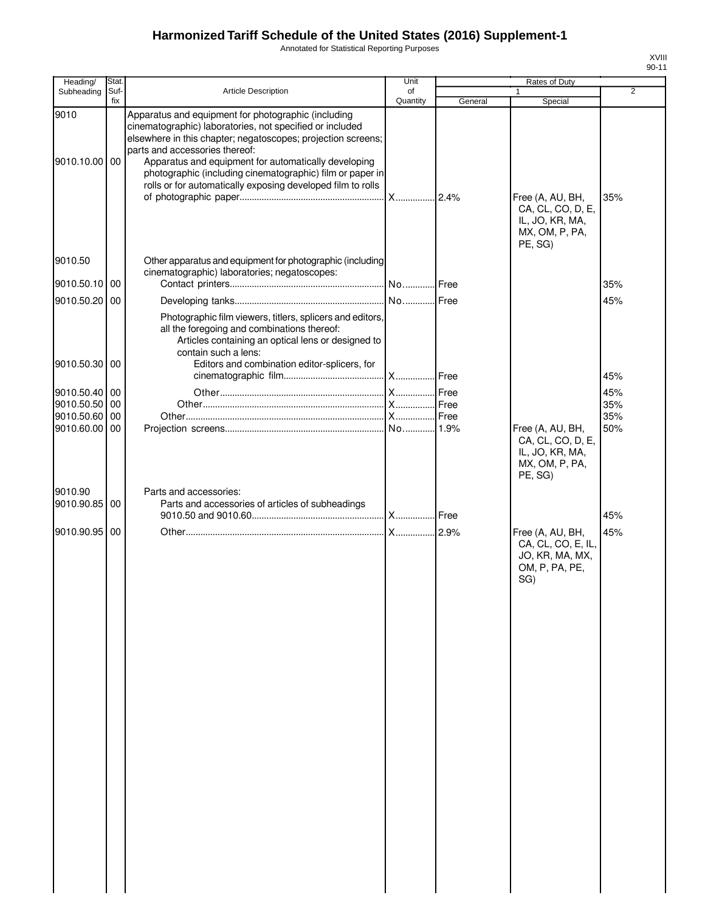Annotated for Statistical Reporting Purposes

| Heading/                       | Stat.       |                                                                                                                                                                                                                                                                                                                                                                                                       | Unit           |         | Rates of Duty                                                                      |            |
|--------------------------------|-------------|-------------------------------------------------------------------------------------------------------------------------------------------------------------------------------------------------------------------------------------------------------------------------------------------------------------------------------------------------------------------------------------------------------|----------------|---------|------------------------------------------------------------------------------------|------------|
| Subheading                     | Suf-<br>fix | <b>Article Description</b>                                                                                                                                                                                                                                                                                                                                                                            | of<br>Quantity | General | $\mathbf{1}$<br>Special                                                            | 2          |
| 9010<br>9010.10.00 00          |             | Apparatus and equipment for photographic (including<br>cinematographic) laboratories, not specified or included<br>elsewhere in this chapter; negatoscopes; projection screens;<br>parts and accessories thereof:<br>Apparatus and equipment for automatically developing<br>photographic (including cinematographic) film or paper in<br>rolls or for automatically exposing developed film to rolls |                |         | Free (A, AU, BH,<br>CA, CL, CO, D, E,<br>IL, JO, KR, MA,<br>MX, OM, P, PA,         | 35%        |
| 9010.50<br>9010.50.10          | 00          | Other apparatus and equipment for photographic (including<br>cinematographic) laboratories; negatoscopes:                                                                                                                                                                                                                                                                                             |                |         | PE, SG)                                                                            | 35%        |
|                                |             |                                                                                                                                                                                                                                                                                                                                                                                                       |                |         |                                                                                    |            |
| 9010.50.20 00<br>9010.50.30 00 |             | Photographic film viewers, titlers, splicers and editors,<br>all the foregoing and combinations thereof:<br>Articles containing an optical lens or designed to<br>contain such a lens:<br>Editors and combination editor-splicers, for                                                                                                                                                                |                |         |                                                                                    | 45%<br>45% |
|                                |             |                                                                                                                                                                                                                                                                                                                                                                                                       |                |         |                                                                                    |            |
| 9010.50.40 00                  |             |                                                                                                                                                                                                                                                                                                                                                                                                       |                |         |                                                                                    | 45%        |
| 9010.50.50<br>9010.50.60       | 00<br>00    |                                                                                                                                                                                                                                                                                                                                                                                                       |                |         |                                                                                    | 35%        |
| 9010.60.00                     | 00          |                                                                                                                                                                                                                                                                                                                                                                                                       |                |         | Free (A, AU, BH,                                                                   | 35%<br>50% |
| 9010.90                        |             | Parts and accessories:                                                                                                                                                                                                                                                                                                                                                                                |                |         | CA, CL, CO, D, E,<br>IL, JO, KR, MA,<br>MX, OM, P, PA,<br>PE, SG)                  |            |
| 9010.90.85                     | 00          | Parts and accessories of articles of subheadings                                                                                                                                                                                                                                                                                                                                                      |                |         |                                                                                    | 45%        |
| 9010.90.95                     | 00          |                                                                                                                                                                                                                                                                                                                                                                                                       |                |         | Free (A, AU, BH,<br>CA, CL, CO, E, IL,<br>JO, KR, MA, MX,<br>OM, P, PA, PE,<br>SG) | 45%        |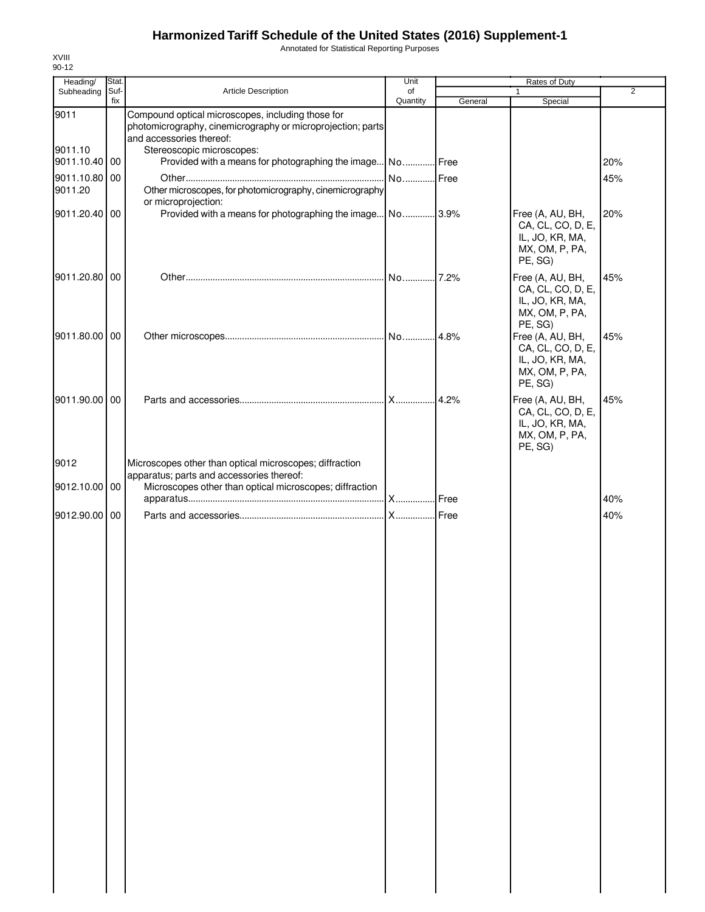Annotated for Statistical Reporting Purposes

| Heading/                 | Stat.       |                                                                                                                                              | Unit           |         | Rates of Duty                                                                         |                |
|--------------------------|-------------|----------------------------------------------------------------------------------------------------------------------------------------------|----------------|---------|---------------------------------------------------------------------------------------|----------------|
| Subheading               | Suf-<br>fix | Article Description                                                                                                                          | of<br>Quantity |         |                                                                                       | $\overline{2}$ |
| 9011                     |             | Compound optical microscopes, including those for<br>photomicrography, cinemicrography or microprojection; parts<br>and accessories thereof: |                | General | Special                                                                               |                |
| 9011.10<br>9011.10.40 00 |             | Stereoscopic microscopes:<br>Provided with a means for photographing the image No Free                                                       |                |         |                                                                                       | 20%            |
| 9011.10.80<br>9011.20    | 00          | Other microscopes, for photomicrography, cinemicrography                                                                                     | No Free        |         |                                                                                       | 45%            |
|                          |             | or microprojection:                                                                                                                          |                |         |                                                                                       |                |
| 9011.20.40 00            |             | Provided with a means for photographing the image No 3.9%                                                                                    |                |         | Free (A, AU, BH,<br>CA, CL, CO, D, E,<br>IL, JO, KR, MA,<br>MX, OM, P, PA,<br>PE, SG) | 20%            |
| 9011.20.80 00            |             |                                                                                                                                              | No 7.2%        |         | Free (A, AU, BH,<br>CA, CL, CO, D, E,<br>IL, JO, KR, MA,<br>MX, OM, P, PA,<br>PE, SG) | 45%            |
| 9011.80.00 00            |             |                                                                                                                                              |                |         | Free (A, AU, BH,<br>CA, CL, CO, D, E,<br>IL, JO, KR, MA,<br>MX, OM, P, PA,<br>PE, SG) | 45%            |
| 9011.90.00 00            |             |                                                                                                                                              |                | .4.2%   | Free (A, AU, BH,<br>CA, CL, CO, D, E,<br>IL, JO, KR, MA,<br>MX, OM, P, PA,<br>PE, SG) | 45%            |
| 9012                     |             | Microscopes other than optical microscopes; diffraction<br>apparatus; parts and accessories thereof:                                         |                |         |                                                                                       |                |
| 9012.10.00 00            |             | Microscopes other than optical microscopes; diffraction                                                                                      |                |         |                                                                                       | 40%            |
| 9012.90.00 00            |             |                                                                                                                                              |                | Free    |                                                                                       | 40%            |
|                          |             |                                                                                                                                              |                |         |                                                                                       |                |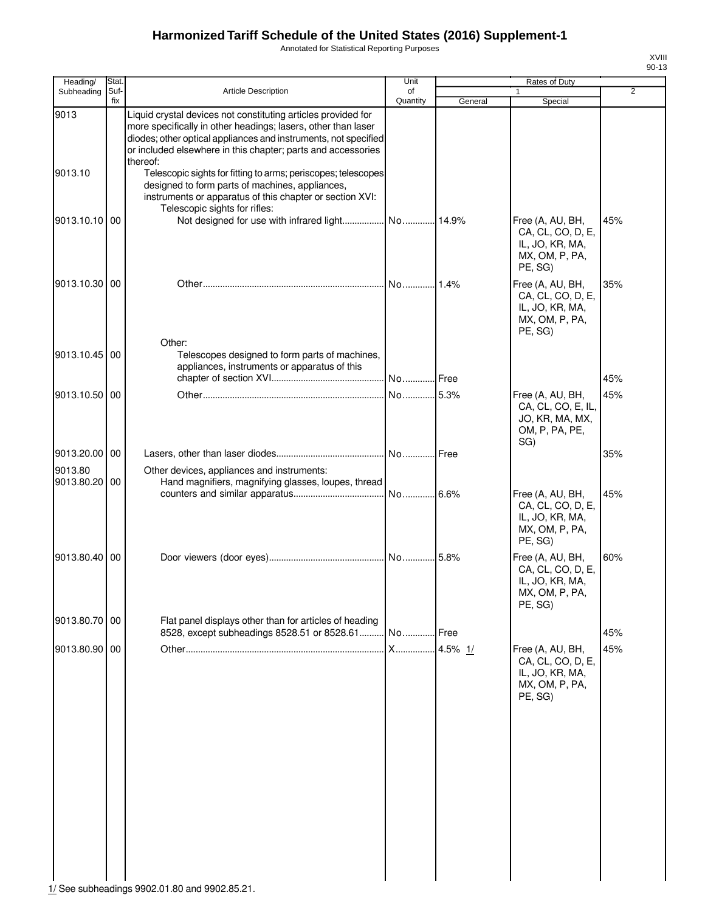Annotated for Statistical Reporting Purposes

| ı<br>'' |  |
|---------|--|
| J.      |  |

| Stat. |                                                                                                                                                                                                            | Unit                                                                                                                                             |                                                                                                                                                                                                                      | <b>Rates of Duty</b>                                                                  |                                                        |
|-------|------------------------------------------------------------------------------------------------------------------------------------------------------------------------------------------------------------|--------------------------------------------------------------------------------------------------------------------------------------------------|----------------------------------------------------------------------------------------------------------------------------------------------------------------------------------------------------------------------|---------------------------------------------------------------------------------------|--------------------------------------------------------|
|       | <b>Article Description</b>                                                                                                                                                                                 | of                                                                                                                                               |                                                                                                                                                                                                                      |                                                                                       | $\overline{2}$                                         |
|       | Liquid crystal devices not constituting articles provided for<br>more specifically in other headings; lasers, other than laser<br>or included elsewhere in this chapter; parts and accessories<br>thereof: |                                                                                                                                                  |                                                                                                                                                                                                                      |                                                                                       |                                                        |
|       | designed to form parts of machines, appliances,<br>instruments or apparatus of this chapter or section XVI:                                                                                                |                                                                                                                                                  |                                                                                                                                                                                                                      |                                                                                       |                                                        |
|       |                                                                                                                                                                                                            |                                                                                                                                                  |                                                                                                                                                                                                                      | Free (A, AU, BH,<br>CA, CL, CO, D, E,<br>IL, JO, KR, MA,<br>MX, OM, P, PA,<br>PE, SG) | 45%                                                    |
|       |                                                                                                                                                                                                            | No                                                                                                                                               | 1.4%                                                                                                                                                                                                                 | Free (A, AU, BH,<br>CA, CL, CO, D, E,<br>IL, JO, KR, MA,<br>MX, OM, P, PA,<br>PE, SG) | 35%                                                    |
|       | Telescopes designed to form parts of machines,<br>appliances, instruments or apparatus of this                                                                                                             |                                                                                                                                                  |                                                                                                                                                                                                                      |                                                                                       | 45%                                                    |
|       |                                                                                                                                                                                                            |                                                                                                                                                  |                                                                                                                                                                                                                      |                                                                                       |                                                        |
|       |                                                                                                                                                                                                            |                                                                                                                                                  |                                                                                                                                                                                                                      | CA, CL, CO, E, IL,<br>JO, KR, MA, MX,<br>OM, P, PA, PE,                               | 45%                                                    |
|       |                                                                                                                                                                                                            |                                                                                                                                                  | Free                                                                                                                                                                                                                 |                                                                                       | 35%                                                    |
|       | Other devices, appliances and instruments:                                                                                                                                                                 |                                                                                                                                                  |                                                                                                                                                                                                                      |                                                                                       |                                                        |
|       |                                                                                                                                                                                                            | No                                                                                                                                               |                                                                                                                                                                                                                      | Free (A, AU, BH,<br>CA, CL, CO, D, E,<br>IL, JO, KR, MA,<br>MX, OM, P, PA,<br>PE, SG) | 45%                                                    |
|       |                                                                                                                                                                                                            |                                                                                                                                                  |                                                                                                                                                                                                                      | Free (A, AU, BH,<br>CA, CL, CO, D, E,<br>IL, JO, KR, MA,<br>MX, OM, P, PA,<br>PE, SG) | 60%                                                    |
|       |                                                                                                                                                                                                            |                                                                                                                                                  |                                                                                                                                                                                                                      |                                                                                       | 45%                                                    |
|       |                                                                                                                                                                                                            |                                                                                                                                                  |                                                                                                                                                                                                                      |                                                                                       | 45%                                                    |
|       |                                                                                                                                                                                                            |                                                                                                                                                  |                                                                                                                                                                                                                      | CA, CL, CO, D, E,<br>IL, JO, KR, MA,<br>MX, OM, P, PA,<br>PE, SG)                     |                                                        |
|       | Suf-<br>fix<br>9013.10.10 00<br>9013.10.30 00<br>9013.10.45 00<br>9013.10.50<br>00<br>9013.20.00 00<br>9013.80.20 00<br>9013.80.40 00<br>9013.80.70 00<br>9013.80.90 00                                    | Telescopic sights for rifles:<br>Other:<br>Flat panel displays other than for articles of heading<br>8528, except subheadings 8528.51 or 8528.61 | Quantity<br>diodes; other optical appliances and instruments, not specified<br>Telescopic sights for fitting to arms; periscopes; telescopes<br>No<br>Hand magnifiers, magnifying glasses, loupes, thread<br>No<br>X | General<br>No Free<br>5.3%<br>.6.6%<br>.5.8%<br>Free<br>4.5% 1/                       | Special<br>Free (A, AU, BH,<br>SG)<br>Free (A, AU, BH, |

1/ See subheadings 9902.01.80 and 9902.85.21.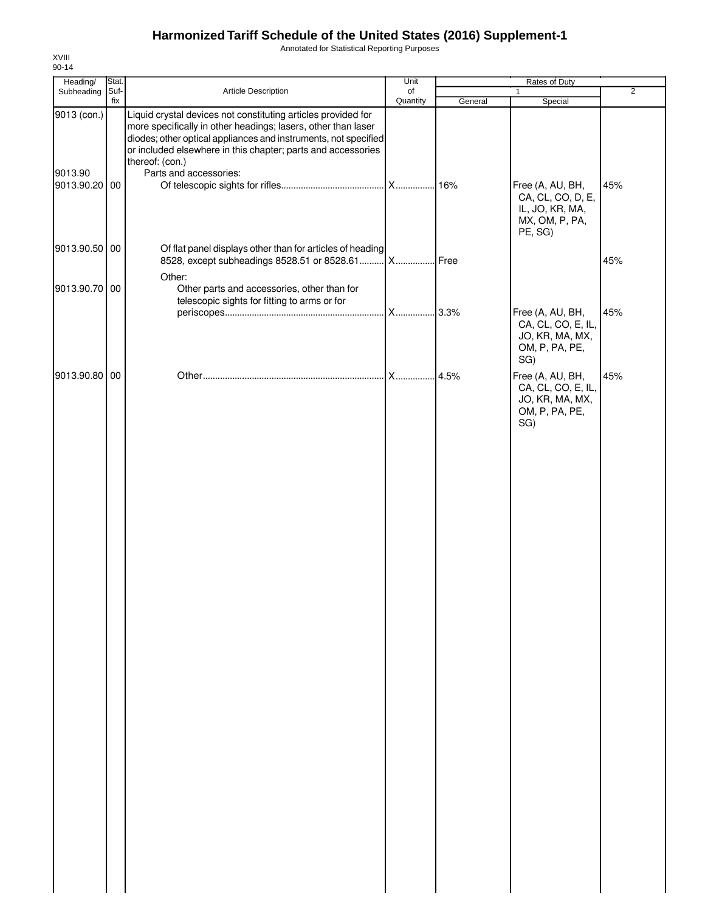Annotated for Statistical Reporting Purposes

| Heading/                                | Stat.       |                                                                                                                                                                                                                                                                                                                | Unit           |         | Rates of Duty                                                     |                |
|-----------------------------------------|-------------|----------------------------------------------------------------------------------------------------------------------------------------------------------------------------------------------------------------------------------------------------------------------------------------------------------------|----------------|---------|-------------------------------------------------------------------|----------------|
| Subheading                              | Suf-<br>fix | Article Description                                                                                                                                                                                                                                                                                            | of<br>Quantity | General | $\mathbf{1}$<br>Special                                           | $\overline{2}$ |
| 9013 (con.)<br>9013.90<br>9013.90.20 00 |             | Liquid crystal devices not constituting articles provided for<br>more specifically in other headings; lasers, other than laser<br>diodes; other optical appliances and instruments, not specified<br>or included elsewhere in this chapter; parts and accessories<br>thereof: (con.)<br>Parts and accessories: |                | .16%    | Free (A, AU, BH,                                                  | 45%            |
|                                         |             |                                                                                                                                                                                                                                                                                                                |                |         | CA, CL, CO, D, E,<br>IL, JO, KR, MA,<br>MX, OM, P, PA,<br>PE, SG) |                |
| 9013.90.50 00                           |             | Of flat panel displays other than for articles of heading<br>8528, except subheadings 8528.51 or 8528.61 X<br>Other:                                                                                                                                                                                           |                | Free    |                                                                   | 45%            |
| 9013.90.70 00                           |             | Other parts and accessories, other than for<br>telescopic sights for fitting to arms or for                                                                                                                                                                                                                    |                |         | Free (A, AU, BH,<br>CA, CL, CO, E, IL,<br>JO, KR, MA, MX,         | 45%            |
| 9013.90.80 00                           |             |                                                                                                                                                                                                                                                                                                                | X              | 4.5%    | OM, P, PA, PE,<br>SG)<br>Free (A, AU, BH,                         | 45%            |
|                                         |             |                                                                                                                                                                                                                                                                                                                |                |         | CA, CL, CO, E, IL,<br>JO, KR, MA, MX,<br>OM, P, PA, PE,<br>SG)    |                |
|                                         |             |                                                                                                                                                                                                                                                                                                                |                |         |                                                                   |                |
|                                         |             |                                                                                                                                                                                                                                                                                                                |                |         |                                                                   |                |
|                                         |             |                                                                                                                                                                                                                                                                                                                |                |         |                                                                   |                |
|                                         |             |                                                                                                                                                                                                                                                                                                                |                |         |                                                                   |                |
|                                         |             |                                                                                                                                                                                                                                                                                                                |                |         |                                                                   |                |
|                                         |             |                                                                                                                                                                                                                                                                                                                |                |         |                                                                   |                |
|                                         |             |                                                                                                                                                                                                                                                                                                                |                |         |                                                                   |                |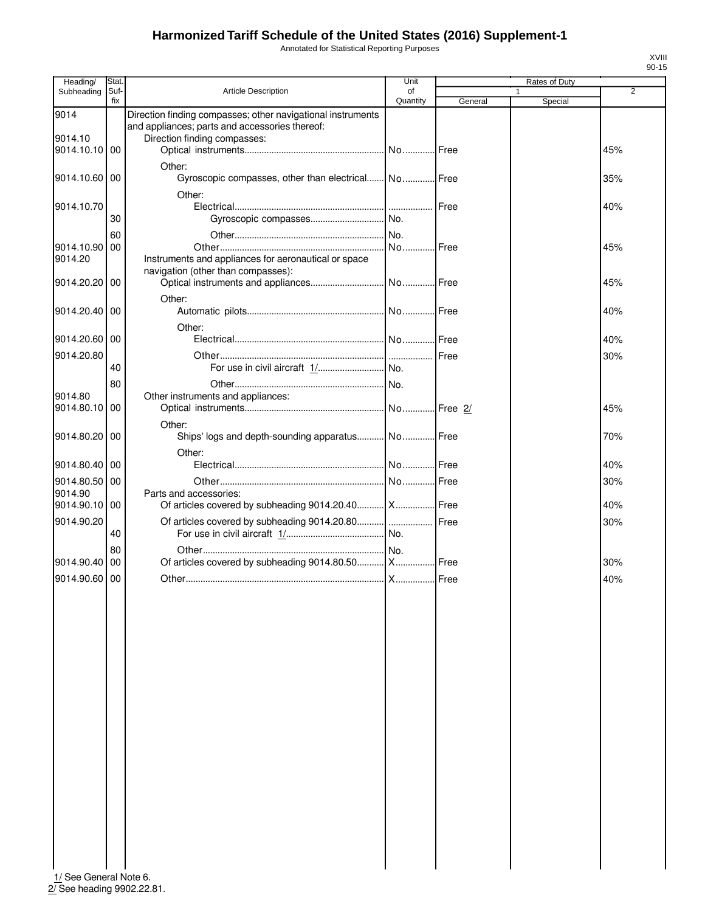Annotated for Statistical Reporting Purposes

| Heading/      | Stat.       |                                                                                | Unit     |         | <b>Rates of Duty</b> |                |
|---------------|-------------|--------------------------------------------------------------------------------|----------|---------|----------------------|----------------|
| Subheading    | Suf-<br>fix | <b>Article Description</b>                                                     | of       |         | 1                    | $\overline{2}$ |
| 9014          |             | Direction finding compasses; other navigational instruments                    | Quantity | General | Special              |                |
| 9014.10       |             | and appliances; parts and accessories thereof:<br>Direction finding compasses: |          |         |                      |                |
| 9014.10.10 00 |             |                                                                                |          |         |                      | 45%            |
|               |             |                                                                                |          |         |                      |                |
| 9014.10.60 00 |             | Other:<br>Gyroscopic compasses, other than electrical No Free                  |          |         |                      | 35%            |
|               |             | Other:                                                                         |          |         |                      |                |
| 9014.10.70    |             |                                                                                |          | Free    |                      | 40%            |
|               | 30          |                                                                                |          |         |                      |                |
|               | 60          |                                                                                |          |         |                      |                |
| 9014.10.90 00 |             |                                                                                | No Free  |         |                      | 45%            |
| 9014.20       |             | Instruments and appliances for aeronautical or space                           |          |         |                      |                |
|               |             | navigation (other than compasses):                                             |          |         |                      |                |
| 9014.20.20    | 00          |                                                                                |          |         |                      | 45%            |
|               |             | Other:                                                                         |          |         |                      |                |
| 9014.20.40 00 |             |                                                                                |          |         |                      | 40%            |
|               |             |                                                                                |          |         |                      |                |
|               |             | Other:                                                                         |          |         |                      |                |
| 9014.20.60 00 |             |                                                                                |          |         |                      | 40%            |
| 9014.20.80    |             |                                                                                |          |         |                      | 30%            |
|               | 40          |                                                                                |          |         |                      |                |
|               | 80          |                                                                                |          |         |                      |                |
| 9014.80       |             | Other instruments and appliances:                                              |          |         |                      |                |
| 9014.80.10    | 00          |                                                                                |          |         |                      | 45%            |
|               |             |                                                                                |          |         |                      |                |
|               |             | Other:                                                                         |          |         |                      |                |
| 9014.80.20 00 |             | Ships' logs and depth-sounding apparatus No Free                               |          |         |                      | 70%            |
|               |             | Other:                                                                         |          |         |                      |                |
| 9014.80.40 00 |             |                                                                                |          |         |                      | 40%            |
| 9014.80.50 00 |             |                                                                                |          |         |                      | 30%            |
| 9014.90       |             | Parts and accessories:                                                         |          |         |                      |                |
| 9014.90.10 00 |             | Of articles covered by subheading 9014.20.40  X  Free                          |          |         |                      | 40%            |
| 9014.90.20    |             | Of articles covered by subheading 9014.20.80    Free                           |          |         |                      | 30%            |
|               | 40          |                                                                                |          |         |                      |                |
|               |             |                                                                                |          |         |                      |                |
| 9014.90.40 00 | 80          |                                                                                |          |         |                      |                |
|               |             | Of articles covered by subheading 9014.80.50  X  Free                          |          |         |                      | 30%            |
| 9014.90.60 00 |             |                                                                                |          |         |                      | 40%            |
|               |             |                                                                                |          |         |                      |                |
|               |             |                                                                                |          |         |                      |                |
|               |             |                                                                                |          |         |                      |                |
|               |             |                                                                                |          |         |                      |                |
|               |             |                                                                                |          |         |                      |                |
|               |             |                                                                                |          |         |                      |                |
|               |             |                                                                                |          |         |                      |                |
|               |             |                                                                                |          |         |                      |                |
|               |             |                                                                                |          |         |                      |                |
|               |             |                                                                                |          |         |                      |                |
|               |             |                                                                                |          |         |                      |                |
|               |             |                                                                                |          |         |                      |                |
|               |             |                                                                                |          |         |                      |                |
|               |             |                                                                                |          |         |                      |                |
|               |             |                                                                                |          |         |                      |                |
|               |             |                                                                                |          |         |                      |                |
|               |             |                                                                                |          |         |                      |                |
|               |             |                                                                                |          |         |                      |                |
|               |             |                                                                                |          |         |                      |                |
|               |             |                                                                                |          |         |                      |                |
|               |             |                                                                                |          |         |                      |                |
|               |             |                                                                                |          |         |                      |                |
|               |             |                                                                                |          |         |                      |                |

1/ See General Note 6. 2/ See heading 9902.22.81.

XVIII 90-15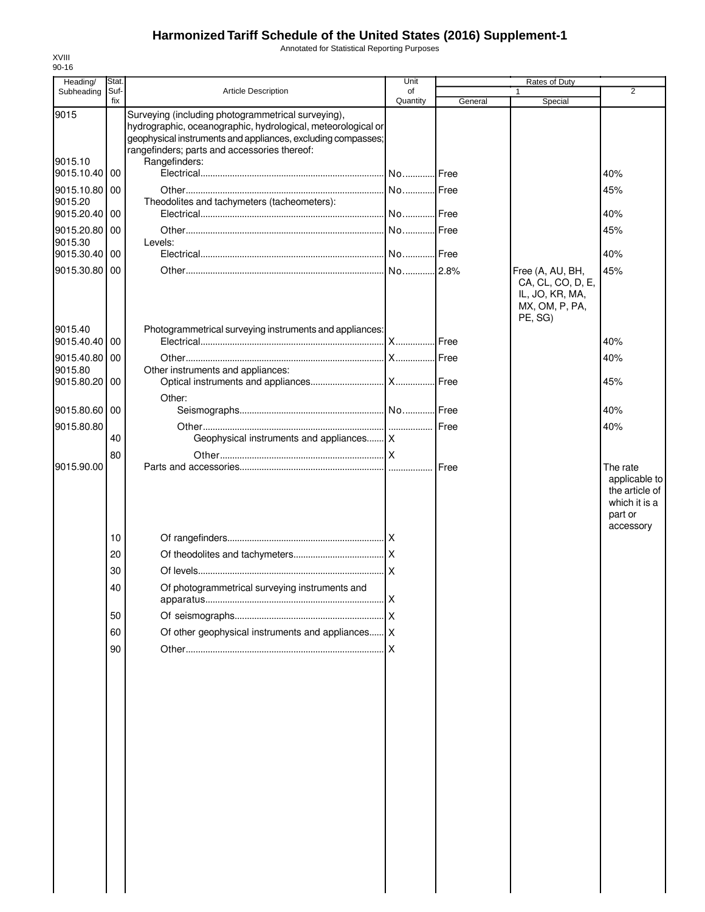Annotated for Statistical Reporting Purposes

| Heading/                 | Stat.       |                                                                                                                                                                                                                                    | Unit           |               | Rates of Duty                                                     |                                                                          |
|--------------------------|-------------|------------------------------------------------------------------------------------------------------------------------------------------------------------------------------------------------------------------------------------|----------------|---------------|-------------------------------------------------------------------|--------------------------------------------------------------------------|
| Subheading               | Suf-<br>fix | <b>Article Description</b>                                                                                                                                                                                                         | of<br>Quantity | General       | 1<br>Special                                                      | 2                                                                        |
| 9015                     |             | Surveying (including photogrammetrical surveying),<br>hydrographic, oceanographic, hydrological, meteorological or<br>geophysical instruments and appliances, excluding compasses;<br>rangefinders; parts and accessories thereof: |                |               |                                                                   |                                                                          |
| 9015.10<br>9015.10.40    | 00          | Rangefinders:                                                                                                                                                                                                                      |                |               |                                                                   | 40%                                                                      |
| 9015.10.80<br>9015.20    | 00          | Theodolites and tachymeters (tacheometers):                                                                                                                                                                                        |                |               |                                                                   | 45%                                                                      |
| 9015.20.40               | 00          |                                                                                                                                                                                                                                    |                |               |                                                                   | 40%                                                                      |
| 9015.20.80 00            |             |                                                                                                                                                                                                                                    |                |               |                                                                   | 45%                                                                      |
| 9015.30<br>9015.30.40    | 00          | Levels:                                                                                                                                                                                                                            |                |               |                                                                   | 40%                                                                      |
| 9015.30.80 00            |             |                                                                                                                                                                                                                                    |                |               | Free (A, AU, BH,                                                  | 45%                                                                      |
|                          |             |                                                                                                                                                                                                                                    |                |               | CA, CL, CO, D, E,<br>IL, JO, KR, MA,<br>MX, OM, P, PA,<br>PE, SG) |                                                                          |
| 9015.40<br>9015.40.40 00 |             | Photogrammetrical surveying instruments and appliances:                                                                                                                                                                            |                | <b>I</b> Free |                                                                   | 40%                                                                      |
| 9015.40.80 00            |             |                                                                                                                                                                                                                                    |                |               |                                                                   | 40%                                                                      |
| 9015.80                  |             | Other instruments and appliances:                                                                                                                                                                                                  |                |               |                                                                   |                                                                          |
| 9015.80.20 00            |             |                                                                                                                                                                                                                                    |                |               |                                                                   | 45%                                                                      |
| 9015.80.60 00            |             | Other:                                                                                                                                                                                                                             |                |               |                                                                   | 40%                                                                      |
| 9015.80.80               |             |                                                                                                                                                                                                                                    |                |               |                                                                   | 40%                                                                      |
|                          | 40          | Geophysical instruments and appliances X                                                                                                                                                                                           |                |               |                                                                   |                                                                          |
|                          | 80          |                                                                                                                                                                                                                                    |                | Free          |                                                                   |                                                                          |
|                          | 10          |                                                                                                                                                                                                                                    |                |               |                                                                   | applicable to<br>the article of<br>which it is a<br>part or<br>accessory |
|                          | 20          |                                                                                                                                                                                                                                    |                |               |                                                                   |                                                                          |
|                          | 30          |                                                                                                                                                                                                                                    |                |               |                                                                   |                                                                          |
|                          | 40          | Of photogrammetrical surveying instruments and                                                                                                                                                                                     |                |               |                                                                   |                                                                          |
|                          |             |                                                                                                                                                                                                                                    |                |               |                                                                   |                                                                          |
|                          | 50          |                                                                                                                                                                                                                                    |                |               |                                                                   |                                                                          |
|                          | 60          | Of other geophysical instruments and appliances   X                                                                                                                                                                                |                |               |                                                                   |                                                                          |
|                          | 90          |                                                                                                                                                                                                                                    |                |               |                                                                   |                                                                          |
|                          |             |                                                                                                                                                                                                                                    |                |               |                                                                   |                                                                          |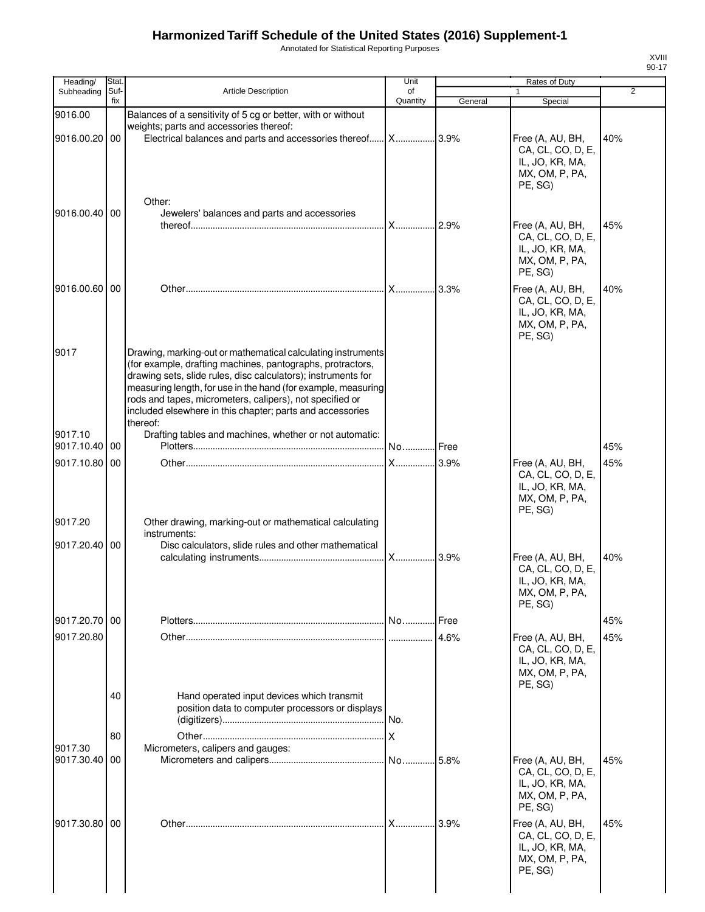Annotated for Statistical Reporting Purposes

| ۰.<br>I<br>× |
|--------------|

| Heading/                 | Stat.       |                                                                                                                                                                                                                                                                                                                                                                                                   | Unit           |         | Rates of Duty                                                                                           |     |
|--------------------------|-------------|---------------------------------------------------------------------------------------------------------------------------------------------------------------------------------------------------------------------------------------------------------------------------------------------------------------------------------------------------------------------------------------------------|----------------|---------|---------------------------------------------------------------------------------------------------------|-----|
| Subheading               | Suf-<br>fix | <b>Article Description</b>                                                                                                                                                                                                                                                                                                                                                                        | of<br>Quantity | General | 1<br>Special                                                                                            | 2   |
| 9016.00<br>9016.00.20 00 |             | Balances of a sensitivity of 5 cg or better, with or without<br>weights; parts and accessories thereof:<br>Electrical balances and parts and accessories thereof X 3.9%                                                                                                                                                                                                                           |                |         | Free (A, AU, BH,<br>CA, CL, CO, D, E,<br>IL, JO, KR, MA,                                                | 40% |
| 9016.00.40 00            |             | Other:<br>Jewelers' balances and parts and accessories                                                                                                                                                                                                                                                                                                                                            |                |         | MX, OM, P, PA,<br>PE, SG)<br>Free (A, AU, BH,<br>CA, CL, CO, D, E,<br>IL, JO, KR, MA,<br>MX, OM, P, PA, | 45% |
| 9016.00.60 00            |             |                                                                                                                                                                                                                                                                                                                                                                                                   |                |         | PE, SG)<br>Free (A, AU, BH,<br>CA, CL, CO, D, E,<br>IL, JO, KR, MA,<br>MX, OM, P, PA,<br>PE, SG)        | 40% |
| 9017                     |             | Drawing, marking-out or mathematical calculating instruments<br>(for example, drafting machines, pantographs, protractors,<br>drawing sets, slide rules, disc calculators); instruments for<br>measuring length, for use in the hand (for example, measuring<br>rods and tapes, micrometers, calipers), not specified or<br>included elsewhere in this chapter; parts and accessories<br>thereof: |                |         |                                                                                                         |     |
| 9017.10<br>9017.10.40 00 |             | Drafting tables and machines, whether or not automatic:                                                                                                                                                                                                                                                                                                                                           | No Free        |         |                                                                                                         | 45% |
| 9017.10.80 00            |             |                                                                                                                                                                                                                                                                                                                                                                                                   |                |         | Free (A, AU, BH,<br>CA, CL, CO, D, E,<br>IL, JO, KR, MA,<br>MX, OM, P, PA,<br>PE, SG)                   | 45% |
| 9017.20                  |             | Other drawing, marking-out or mathematical calculating<br>instruments:                                                                                                                                                                                                                                                                                                                            |                |         |                                                                                                         |     |
| 9017.20.40 00            |             | Disc calculators, slide rules and other mathematical                                                                                                                                                                                                                                                                                                                                              |                |         | Free (A, AU, BH,<br>CA, CL, CO, D, E,<br>IL, JO, KR, MA,<br>MX, OM, P, PA,<br>PE, SG)                   | 40% |
| 9017.20.70 00            |             |                                                                                                                                                                                                                                                                                                                                                                                                   |                |         |                                                                                                         | 45% |
| 9017.20.80               |             |                                                                                                                                                                                                                                                                                                                                                                                                   |                | 4.6%    | Free (A, AU, BH,<br>CA, CL, CO, D, E,<br>IL, JO, KR, MA,<br>MX, OM, P, PA,<br>PE, SG)                   | 45% |
|                          | 40          | Hand operated input devices which transmit<br>position data to computer processors or displays                                                                                                                                                                                                                                                                                                    |                |         |                                                                                                         |     |
|                          | 80          |                                                                                                                                                                                                                                                                                                                                                                                                   |                |         |                                                                                                         |     |
| 9017.30<br>9017.30.40 00 |             | Micrometers, calipers and gauges:                                                                                                                                                                                                                                                                                                                                                                 |                |         | Free (A, AU, BH,<br>CA, CL, CO, D, E,<br>IL, JO, KR, MA,<br>MX, OM, P, PA,<br>PE, SG)                   | 45% |
| 9017.30.80 00            |             |                                                                                                                                                                                                                                                                                                                                                                                                   | <b>X</b>       | 3.9%    | Free (A, AU, BH,<br>CA, CL, CO, D, E,<br>IL, JO, KR, MA,<br>MX, OM, P, PA,<br>PE, SG)                   | 45% |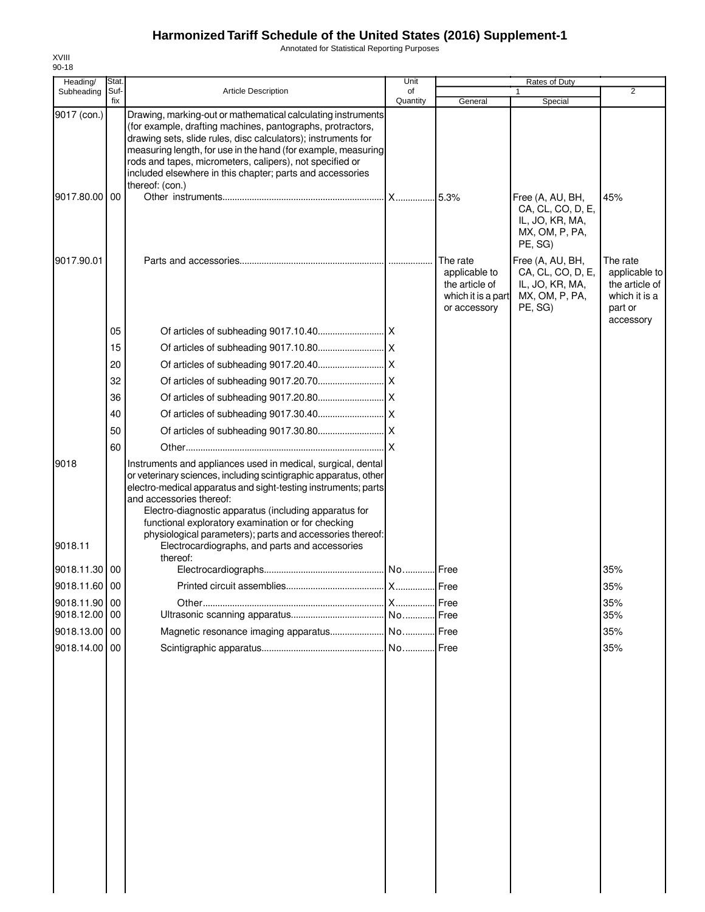Annotated for Statistical Reporting Purposes

| Heading/                    | Stat.       |                                                                                                                                                                                                                                                                                                                                                                                                                                                              | Unit           |                                                                                   | Rates of Duty                                                                         |                                                                                      |
|-----------------------------|-------------|--------------------------------------------------------------------------------------------------------------------------------------------------------------------------------------------------------------------------------------------------------------------------------------------------------------------------------------------------------------------------------------------------------------------------------------------------------------|----------------|-----------------------------------------------------------------------------------|---------------------------------------------------------------------------------------|--------------------------------------------------------------------------------------|
| Subheading                  | Suf-<br>fix | <b>Article Description</b>                                                                                                                                                                                                                                                                                                                                                                                                                                   | of<br>Quantity | General                                                                           | 1<br>Special                                                                          | $\overline{2}$                                                                       |
| 9017 (con.)                 |             | Drawing, marking-out or mathematical calculating instruments<br>(for example, drafting machines, pantographs, protractors,<br>drawing sets, slide rules, disc calculators); instruments for<br>measuring length, for use in the hand (for example, measuring<br>rods and tapes, micrometers, calipers), not specified or<br>included elsewhere in this chapter; parts and accessories                                                                        |                |                                                                                   |                                                                                       |                                                                                      |
| 9017.80.00 00               |             | thereof: (con.)                                                                                                                                                                                                                                                                                                                                                                                                                                              | .lx            | .5.3%                                                                             | Free (A, AU, BH,<br>CA, CL, CO, D, E,<br>IL, JO, KR, MA,<br>MX, OM, P, PA,<br>PE, SG) | 45%                                                                                  |
| 9017.90.01                  |             |                                                                                                                                                                                                                                                                                                                                                                                                                                                              |                | The rate<br>applicable to<br>the article of<br>which it is a part<br>or accessory | Free (A, AU, BH,<br>CA, CL, CO, D, E,<br>IL, JO, KR, MA,<br>MX, OM, P, PA,<br>PE, SG) | The rate<br>applicable to<br>the article of<br>which it is a<br>part or<br>accessory |
|                             | 05          |                                                                                                                                                                                                                                                                                                                                                                                                                                                              |                |                                                                                   |                                                                                       |                                                                                      |
|                             | 15          |                                                                                                                                                                                                                                                                                                                                                                                                                                                              |                |                                                                                   |                                                                                       |                                                                                      |
|                             | 20          |                                                                                                                                                                                                                                                                                                                                                                                                                                                              |                |                                                                                   |                                                                                       |                                                                                      |
|                             | 32          |                                                                                                                                                                                                                                                                                                                                                                                                                                                              |                |                                                                                   |                                                                                       |                                                                                      |
|                             | 36          |                                                                                                                                                                                                                                                                                                                                                                                                                                                              |                |                                                                                   |                                                                                       |                                                                                      |
|                             | 40          |                                                                                                                                                                                                                                                                                                                                                                                                                                                              |                |                                                                                   |                                                                                       |                                                                                      |
|                             | 50          |                                                                                                                                                                                                                                                                                                                                                                                                                                                              |                |                                                                                   |                                                                                       |                                                                                      |
|                             | 60          |                                                                                                                                                                                                                                                                                                                                                                                                                                                              | ΙX             |                                                                                   |                                                                                       |                                                                                      |
| 9018<br>9018.11             |             | Instruments and appliances used in medical, surgical, dental<br>or veterinary sciences, including scintigraphic apparatus, other<br>electro-medical apparatus and sight-testing instruments; parts<br>and accessories thereof:<br>Electro-diagnostic apparatus (including apparatus for<br>functional exploratory examination or for checking<br>physiological parameters); parts and accessories thereof:<br>Electrocardiographs, and parts and accessories |                |                                                                                   |                                                                                       |                                                                                      |
|                             |             | thereof:                                                                                                                                                                                                                                                                                                                                                                                                                                                     |                |                                                                                   |                                                                                       |                                                                                      |
| 9018.11.30 00               |             |                                                                                                                                                                                                                                                                                                                                                                                                                                                              |                |                                                                                   |                                                                                       | 35%                                                                                  |
| 9018.11.60 00               |             |                                                                                                                                                                                                                                                                                                                                                                                                                                                              |                |                                                                                   |                                                                                       | 35%                                                                                  |
| 9018.11.90 00<br>9018.12.00 | 00          |                                                                                                                                                                                                                                                                                                                                                                                                                                                              | <b>X</b>       | Free<br>Free                                                                      |                                                                                       | 35%<br>35%                                                                           |
| 9018.13.00 00               |             |                                                                                                                                                                                                                                                                                                                                                                                                                                                              |                | Free                                                                              |                                                                                       | 35%                                                                                  |
| 9018.14.00                  | 00          |                                                                                                                                                                                                                                                                                                                                                                                                                                                              |                | Free                                                                              |                                                                                       | 35%                                                                                  |
|                             |             |                                                                                                                                                                                                                                                                                                                                                                                                                                                              |                |                                                                                   |                                                                                       |                                                                                      |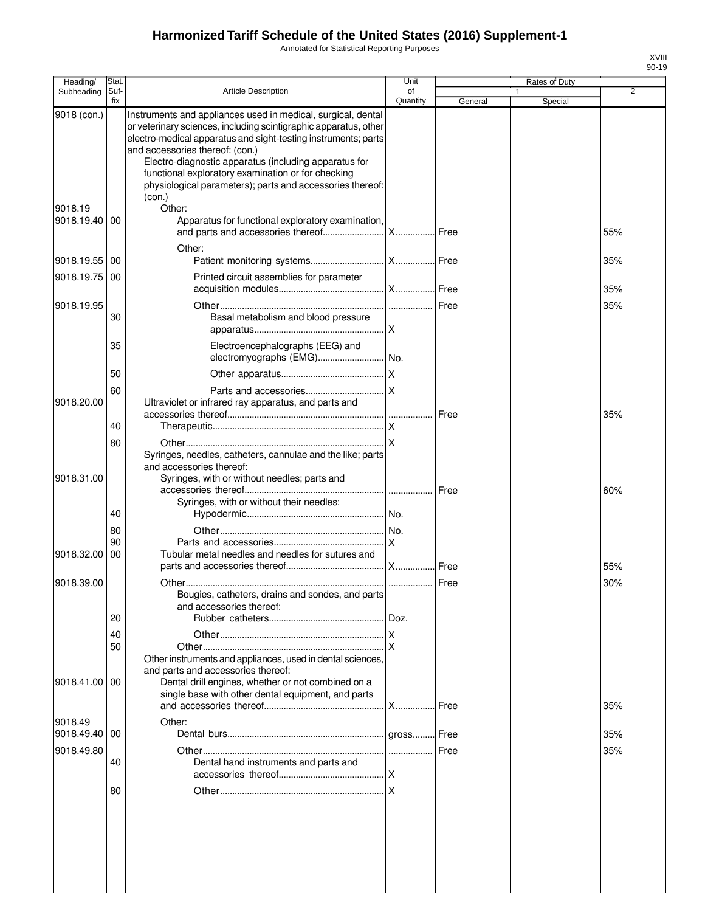Annotated for Statistical Reporting Purposes

| Heading/      | Stat.       |                                                                                                                                                                                                                                                                                                                                                                                                                   | Unit           |               | Rates of Duty |     |
|---------------|-------------|-------------------------------------------------------------------------------------------------------------------------------------------------------------------------------------------------------------------------------------------------------------------------------------------------------------------------------------------------------------------------------------------------------------------|----------------|---------------|---------------|-----|
| Subheading    | Suf-<br>fix | <b>Article Description</b>                                                                                                                                                                                                                                                                                                                                                                                        | of<br>Quantity | General       | 1<br>Special  | 2   |
| 9018 (con.)   |             | Instruments and appliances used in medical, surgical, dental<br>or veterinary sciences, including scintigraphic apparatus, other<br>electro-medical apparatus and sight-testing instruments; parts<br>and accessories thereof: (con.)<br>Electro-diagnostic apparatus (including apparatus for<br>functional exploratory examination or for checking<br>physiological parameters); parts and accessories thereof: |                |               |               |     |
| 9018.19       |             | (con.)<br>Other:                                                                                                                                                                                                                                                                                                                                                                                                  |                |               |               |     |
| 9018.19.40    | 00          | Apparatus for functional exploratory examination,                                                                                                                                                                                                                                                                                                                                                                 |                |               |               | 55% |
| 9018.19.55    | 00          | Other:                                                                                                                                                                                                                                                                                                                                                                                                            |                |               |               | 35% |
| 9018.19.75    | 00          | Printed circuit assemblies for parameter                                                                                                                                                                                                                                                                                                                                                                          |                |               |               | 35% |
| 9018.19.95    |             |                                                                                                                                                                                                                                                                                                                                                                                                                   |                |               |               | 35% |
|               | 30          | Basal metabolism and blood pressure                                                                                                                                                                                                                                                                                                                                                                               |                |               |               |     |
|               | 35          | Electroencephalographs (EEG) and                                                                                                                                                                                                                                                                                                                                                                                  |                |               |               |     |
|               | 50          |                                                                                                                                                                                                                                                                                                                                                                                                                   |                |               |               |     |
| 9018.20.00    | 60          | Ultraviolet or infrared ray apparatus, and parts and                                                                                                                                                                                                                                                                                                                                                              |                |               |               |     |
|               | 40          |                                                                                                                                                                                                                                                                                                                                                                                                                   |                | <b>I</b> Free |               | 35% |
|               | 80          | Syringes, needles, catheters, cannulae and the like; parts<br>and accessories thereof:                                                                                                                                                                                                                                                                                                                            |                |               |               |     |
| 9018.31.00    |             | Syringes, with or without needles; parts and<br>Syringes, with or without their needles:                                                                                                                                                                                                                                                                                                                          |                | <b>I</b> Free |               | 60% |
|               | 40          |                                                                                                                                                                                                                                                                                                                                                                                                                   |                |               |               |     |
|               | 80          |                                                                                                                                                                                                                                                                                                                                                                                                                   |                |               |               |     |
| 9018.32.00    | 90<br>00    | Tubular metal needles and needles for sutures and                                                                                                                                                                                                                                                                                                                                                                 |                |               |               | 55% |
| 9018.39.00    |             |                                                                                                                                                                                                                                                                                                                                                                                                                   |                |               |               | 30% |
|               |             | Bougies, catheters, drains and sondes, and parts<br>and accessories thereof:                                                                                                                                                                                                                                                                                                                                      |                |               |               |     |
|               | 20          |                                                                                                                                                                                                                                                                                                                                                                                                                   |                |               |               |     |
|               | 40<br>50    | Other instruments and appliances, used in dental sciences,                                                                                                                                                                                                                                                                                                                                                        |                |               |               |     |
| 9018.41.00    | 00          | and parts and accessories thereof:<br>Dental drill engines, whether or not combined on a<br>single base with other dental equipment, and parts                                                                                                                                                                                                                                                                    |                |               |               | 35% |
| 9018.49       |             | Other:                                                                                                                                                                                                                                                                                                                                                                                                            |                |               |               |     |
| 9018.49.40 00 |             |                                                                                                                                                                                                                                                                                                                                                                                                                   |                |               |               | 35% |
| 9018.49.80    |             |                                                                                                                                                                                                                                                                                                                                                                                                                   |                |               |               | 35% |
|               | 40          | Dental hand instruments and parts and                                                                                                                                                                                                                                                                                                                                                                             |                |               |               |     |
|               | 80          |                                                                                                                                                                                                                                                                                                                                                                                                                   |                |               |               |     |
|               |             |                                                                                                                                                                                                                                                                                                                                                                                                                   |                |               |               |     |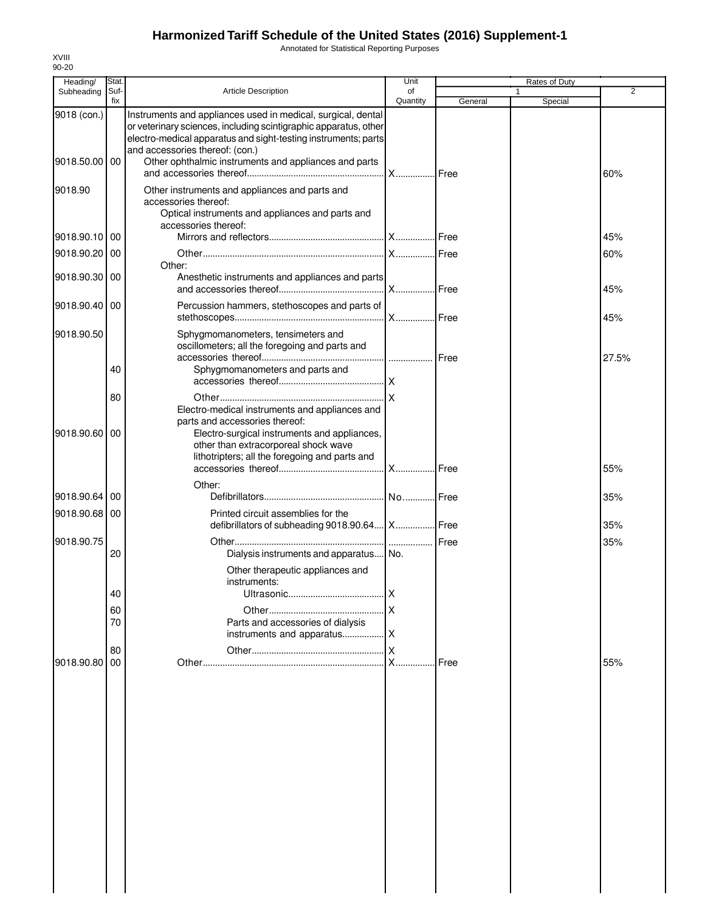Annotated for Statistical Reporting Purposes

| Heading/      | Stat.       |                                                                                                                                                                                                                                       | Unit           |         | Rates of Duty |                |
|---------------|-------------|---------------------------------------------------------------------------------------------------------------------------------------------------------------------------------------------------------------------------------------|----------------|---------|---------------|----------------|
| Subheading    | Suf-<br>fix | <b>Article Description</b>                                                                                                                                                                                                            | of<br>Quantity | General | 1<br>Special  | $\overline{2}$ |
| 9018 (con.)   |             | Instruments and appliances used in medical, surgical, dental<br>or veterinary sciences, including scintigraphic apparatus, other<br>electro-medical apparatus and sight-testing instruments; parts<br>and accessories thereof: (con.) |                |         |               |                |
| 9018.50.00 00 |             | Other ophthalmic instruments and appliances and parts                                                                                                                                                                                 |                |         |               | 60%            |
| 9018.90       |             | Other instruments and appliances and parts and<br>accessories thereof:<br>Optical instruments and appliances and parts and<br>accessories thereof:                                                                                    |                |         |               |                |
| 9018.90.10 00 |             |                                                                                                                                                                                                                                       |                |         |               | 45%            |
| 9018.90.20 00 |             |                                                                                                                                                                                                                                       |                |         |               | 60%            |
| 9018.90.30 00 |             | Other:<br>Anesthetic instruments and appliances and parts                                                                                                                                                                             |                |         |               | 45%            |
| 9018.90.40 00 |             | Percussion hammers, stethoscopes and parts of                                                                                                                                                                                         |                |         |               | 45%            |
| 9018.90.50    |             | Sphygmomanometers, tensimeters and<br>oscillometers; all the foregoing and parts and                                                                                                                                                  |                |         |               | 27.5%          |
|               | 40          | Sphygmomanometers and parts and                                                                                                                                                                                                       |                |         |               |                |
|               | 80          |                                                                                                                                                                                                                                       |                |         |               |                |
| 9018.90.60 00 |             | Electro-medical instruments and appliances and<br>parts and accessories thereof:<br>Electro-surgical instruments and appliances,<br>other than extracorporeal shock wave<br>lithotripters; all the foregoing and parts and            |                |         |               |                |
|               |             | Other:                                                                                                                                                                                                                                |                |         |               | 55%            |
| 9018.90.64    | 00          |                                                                                                                                                                                                                                       |                |         |               | 35%            |
| 9018.90.68 00 |             | Printed circuit assemblies for the<br>defibrillators of subheading 9018.90.64 X Free                                                                                                                                                  |                |         |               | 35%            |
| 9018.90.75    | 20          | Dialysis instruments and apparatus No.                                                                                                                                                                                                |                | Free    |               | 35%            |
|               |             | Other therapeutic appliances and<br>instruments:                                                                                                                                                                                      |                |         |               |                |
|               | 40          |                                                                                                                                                                                                                                       |                |         |               |                |
|               | 60          |                                                                                                                                                                                                                                       |                |         |               |                |
|               | 70          | Parts and accessories of dialysis                                                                                                                                                                                                     |                |         |               |                |
|               | 80          |                                                                                                                                                                                                                                       |                |         |               |                |
| 9018.90.80    | 00          |                                                                                                                                                                                                                                       | .              | Free    |               | 55%            |
|               |             |                                                                                                                                                                                                                                       |                |         |               |                |
|               |             |                                                                                                                                                                                                                                       |                |         |               |                |
|               |             |                                                                                                                                                                                                                                       |                |         |               |                |
|               |             |                                                                                                                                                                                                                                       |                |         |               |                |
|               |             |                                                                                                                                                                                                                                       |                |         |               |                |
|               |             |                                                                                                                                                                                                                                       |                |         |               |                |
|               |             |                                                                                                                                                                                                                                       |                |         |               |                |
|               |             |                                                                                                                                                                                                                                       |                |         |               |                |
|               |             |                                                                                                                                                                                                                                       |                |         |               |                |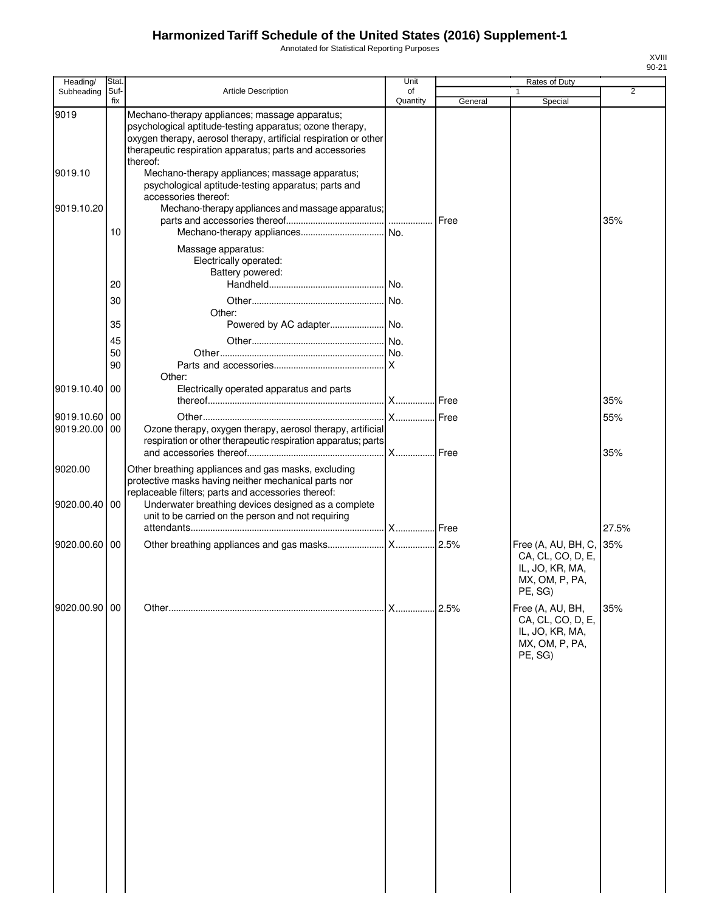Annotated for Statistical Reporting Purposes

| <b>Stat</b> |                                                                                                                                                                                          | Unit                                                                                                                                                                     |                                                                                                                                                                                                                      | Rates of Duty                                                     |                                                    |
|-------------|------------------------------------------------------------------------------------------------------------------------------------------------------------------------------------------|--------------------------------------------------------------------------------------------------------------------------------------------------------------------------|----------------------------------------------------------------------------------------------------------------------------------------------------------------------------------------------------------------------|-------------------------------------------------------------------|----------------------------------------------------|
| Suf-        | Article Description                                                                                                                                                                      | οf                                                                                                                                                                       |                                                                                                                                                                                                                      |                                                                   | 2                                                  |
|             |                                                                                                                                                                                          |                                                                                                                                                                          |                                                                                                                                                                                                                      |                                                                   |                                                    |
|             | psychological aptitude-testing apparatus; ozone therapy,<br>oxygen therapy, aerosol therapy, artificial respiration or other<br>therapeutic respiration apparatus; parts and accessories |                                                                                                                                                                          |                                                                                                                                                                                                                      |                                                                   |                                                    |
|             | Mechano-therapy appliances; massage apparatus;<br>psychological aptitude-testing apparatus; parts and<br>accessories thereof:                                                            |                                                                                                                                                                          |                                                                                                                                                                                                                      |                                                                   |                                                    |
|             |                                                                                                                                                                                          |                                                                                                                                                                          | Free                                                                                                                                                                                                                 |                                                                   | 35%                                                |
| 10          |                                                                                                                                                                                          |                                                                                                                                                                          |                                                                                                                                                                                                                      |                                                                   |                                                    |
|             | Massage apparatus:<br>Electrically operated:<br>Battery powered:                                                                                                                         |                                                                                                                                                                          |                                                                                                                                                                                                                      |                                                                   |                                                    |
|             |                                                                                                                                                                                          |                                                                                                                                                                          |                                                                                                                                                                                                                      |                                                                   |                                                    |
|             |                                                                                                                                                                                          |                                                                                                                                                                          |                                                                                                                                                                                                                      |                                                                   |                                                    |
| 35          |                                                                                                                                                                                          |                                                                                                                                                                          |                                                                                                                                                                                                                      |                                                                   |                                                    |
|             |                                                                                                                                                                                          |                                                                                                                                                                          |                                                                                                                                                                                                                      |                                                                   |                                                    |
|             |                                                                                                                                                                                          |                                                                                                                                                                          |                                                                                                                                                                                                                      |                                                                   |                                                    |
|             | Other:                                                                                                                                                                                   |                                                                                                                                                                          |                                                                                                                                                                                                                      |                                                                   |                                                    |
|             |                                                                                                                                                                                          |                                                                                                                                                                          |                                                                                                                                                                                                                      |                                                                   | 35%                                                |
|             |                                                                                                                                                                                          |                                                                                                                                                                          |                                                                                                                                                                                                                      |                                                                   |                                                    |
| 00          |                                                                                                                                                                                          |                                                                                                                                                                          |                                                                                                                                                                                                                      |                                                                   | 55%                                                |
|             |                                                                                                                                                                                          |                                                                                                                                                                          | Free                                                                                                                                                                                                                 |                                                                   | 35%                                                |
|             | Other breathing appliances and gas masks, excluding<br>protective masks having neither mechanical parts nor<br>replaceable filters; parts and accessories thereof:                       |                                                                                                                                                                          |                                                                                                                                                                                                                      |                                                                   |                                                    |
|             | unit to be carried on the person and not requiring                                                                                                                                       |                                                                                                                                                                          |                                                                                                                                                                                                                      |                                                                   |                                                    |
|             |                                                                                                                                                                                          |                                                                                                                                                                          |                                                                                                                                                                                                                      |                                                                   | 27.5%                                              |
|             |                                                                                                                                                                                          |                                                                                                                                                                          |                                                                                                                                                                                                                      | CA, CL, CO, D, E,<br>IL, JO, KR, MA,<br>MX, OM, P, PA,<br>PE, SG) | 35%                                                |
|             |                                                                                                                                                                                          |                                                                                                                                                                          |                                                                                                                                                                                                                      | CA, CL, CO, D, E,<br>IL, JO, KR, MA,<br>MX, OM, P, PA,<br>PE, SG) | 35%                                                |
|             |                                                                                                                                                                                          |                                                                                                                                                                          |                                                                                                                                                                                                                      |                                                                   |                                                    |
|             | fix<br>9019.10.20<br>20<br>30<br>45<br>50<br>90<br>9019.10.40<br>00<br>9019.10.60 00<br>9019.20.00<br>9020.00.40<br>00<br>9020.00.60<br>00<br>9020.00.90 00                              | Mechano-therapy appliances; massage apparatus;<br>thereof:<br>Other:<br>Electrically operated apparatus and parts<br>Underwater breathing devices designed as a complete | Quantity<br>Mechano-therapy appliances and massage apparatus;<br>Ozone therapy, oxygen therapy, aerosol therapy, artificial<br>respiration or other therapeutic respiration apparatus; parts<br><b>X</b><br><b>X</b> | General<br>Free<br>Free<br>2.5%                                   | Special<br>Free (A, AU, BH, C,<br>Free (A, AU, BH, |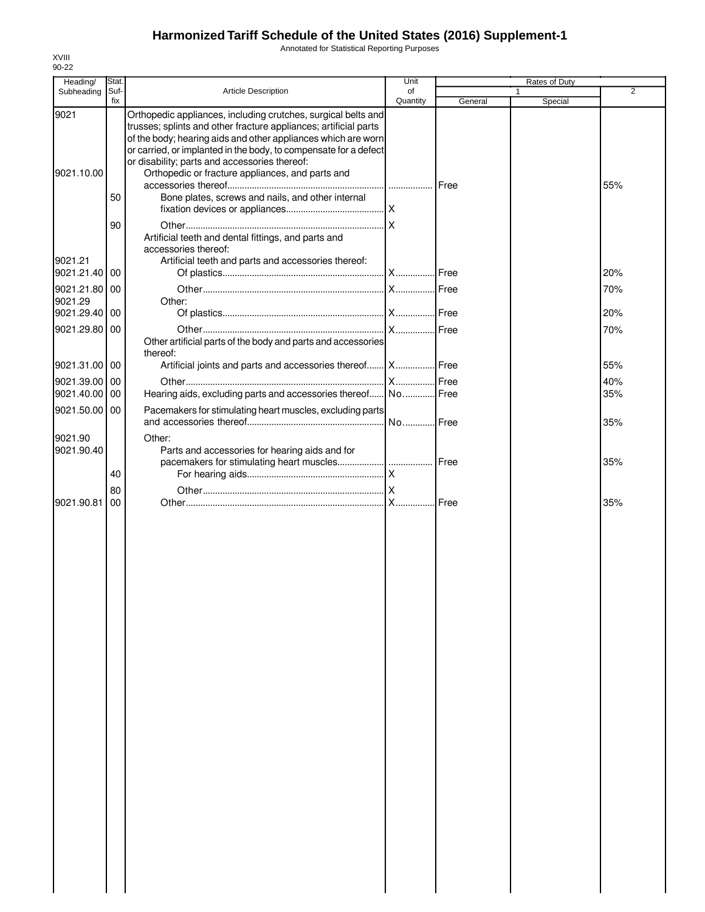Annotated for Statistical Reporting Purposes

| Stat.               |                                                                                                                                                                                                                                                                                                            | Unit                                                                                                                                        |                                                                                                                                             | Rates of Duty                                                                                                                                          |            |
|---------------------|------------------------------------------------------------------------------------------------------------------------------------------------------------------------------------------------------------------------------------------------------------------------------------------------------------|---------------------------------------------------------------------------------------------------------------------------------------------|---------------------------------------------------------------------------------------------------------------------------------------------|--------------------------------------------------------------------------------------------------------------------------------------------------------|------------|
| Suf-<br>fix         |                                                                                                                                                                                                                                                                                                            | of                                                                                                                                          |                                                                                                                                             | 1                                                                                                                                                      | 2          |
|                     | Orthopedic appliances, including crutches, surgical belts and<br>trusses; splints and other fracture appliances; artificial parts<br>or carried, or implanted in the body, to compensate for a defect<br>or disability; parts and accessories thereof:<br>Orthopedic or fracture appliances, and parts and |                                                                                                                                             |                                                                                                                                             |                                                                                                                                                        | 55%        |
| 50<br>90            | Bone plates, screws and nails, and other internal                                                                                                                                                                                                                                                          |                                                                                                                                             |                                                                                                                                             |                                                                                                                                                        |            |
| 00                  | accessories thereof:<br>Artificial teeth and parts and accessories thereof:                                                                                                                                                                                                                                |                                                                                                                                             |                                                                                                                                             |                                                                                                                                                        | 20%        |
| 9021.21.80 00<br>00 | Other:                                                                                                                                                                                                                                                                                                     |                                                                                                                                             |                                                                                                                                             |                                                                                                                                                        | 70%<br>20% |
| 00                  | thereof:                                                                                                                                                                                                                                                                                                   |                                                                                                                                             |                                                                                                                                             |                                                                                                                                                        | 70%        |
| 9021.31.00 00       |                                                                                                                                                                                                                                                                                                            |                                                                                                                                             |                                                                                                                                             |                                                                                                                                                        | 55%        |
| 9021.39.00 00       |                                                                                                                                                                                                                                                                                                            |                                                                                                                                             |                                                                                                                                             |                                                                                                                                                        | 40%        |
| 00                  |                                                                                                                                                                                                                                                                                                            |                                                                                                                                             |                                                                                                                                             |                                                                                                                                                        | 35%        |
| 9021.50.00 00       |                                                                                                                                                                                                                                                                                                            |                                                                                                                                             |                                                                                                                                             |                                                                                                                                                        | 35%        |
|                     | Other:<br>Parts and accessories for hearing aids and for                                                                                                                                                                                                                                                   |                                                                                                                                             |                                                                                                                                             |                                                                                                                                                        |            |
| 40                  |                                                                                                                                                                                                                                                                                                            |                                                                                                                                             |                                                                                                                                             |                                                                                                                                                        | 35%        |
| 00                  |                                                                                                                                                                                                                                                                                                            |                                                                                                                                             |                                                                                                                                             |                                                                                                                                                        | 35%        |
|                     |                                                                                                                                                                                                                                                                                                            |                                                                                                                                             |                                                                                                                                             |                                                                                                                                                        |            |
|                     | 80                                                                                                                                                                                                                                                                                                         | Article Description<br>of the body; hearing aids and other appliances which are worn<br>Artificial teeth and dental fittings, and parts and | Quantity<br>ΙX<br>Other artificial parts of the body and parts and accessories<br>Pacemakers for stimulating heart muscles, excluding parts | General<br>Artificial joints and parts and accessories thereof X Free<br>Hearing aids, excluding parts and accessories thereof No Free<br>Free<br>Free | Special    |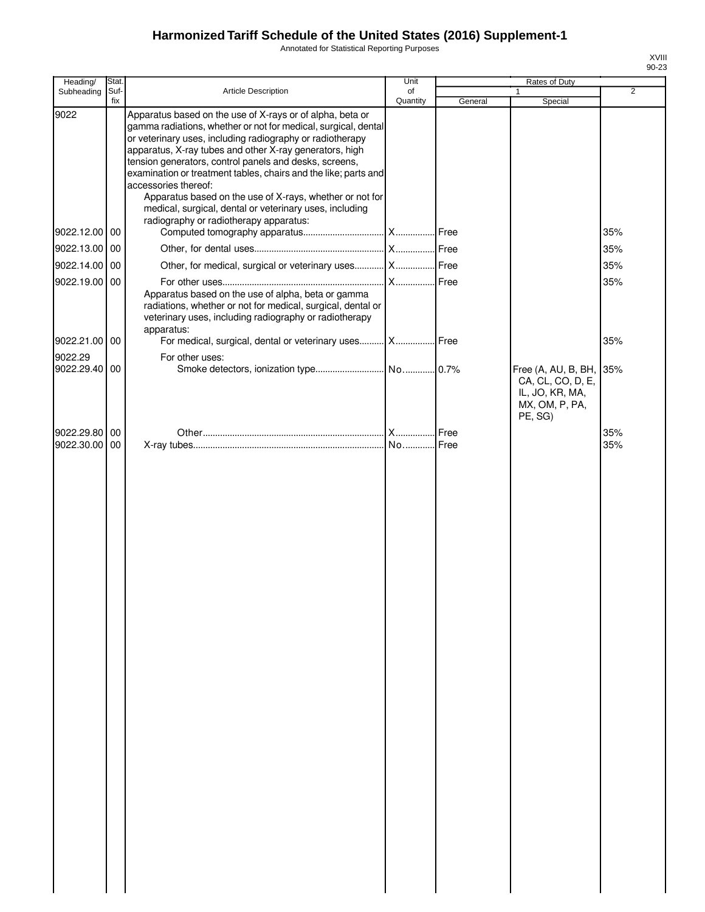Annotated for Statistical Reporting Purposes

| Heading/                       | Stat.       |                                                                                                                                                                                                                                                                                                                                                                                                                                                                                                                                                                           | Unit           |         | Rates of Duty                                                                 |                |
|--------------------------------|-------------|---------------------------------------------------------------------------------------------------------------------------------------------------------------------------------------------------------------------------------------------------------------------------------------------------------------------------------------------------------------------------------------------------------------------------------------------------------------------------------------------------------------------------------------------------------------------------|----------------|---------|-------------------------------------------------------------------------------|----------------|
| Subheading                     | Suf-<br>fix | Article Description                                                                                                                                                                                                                                                                                                                                                                                                                                                                                                                                                       | of<br>Quantity | General | Special                                                                       | $\overline{2}$ |
| 9022                           |             | Apparatus based on the use of X-rays or of alpha, beta or<br>gamma radiations, whether or not for medical, surgical, dental<br>or veterinary uses, including radiography or radiotherapy<br>apparatus, X-ray tubes and other X-ray generators, high<br>tension generators, control panels and desks, screens,<br>examination or treatment tables, chairs and the like; parts and<br>accessories thereof:<br>Apparatus based on the use of X-rays, whether or not for<br>medical, surgical, dental or veterinary uses, including<br>radiography or radiotherapy apparatus: |                |         |                                                                               |                |
| 9022.12.00 00                  |             |                                                                                                                                                                                                                                                                                                                                                                                                                                                                                                                                                                           |                |         |                                                                               | 35%            |
| 9022.13.00 00                  |             |                                                                                                                                                                                                                                                                                                                                                                                                                                                                                                                                                                           |                |         |                                                                               | 35%            |
| 9022.14.00 00                  |             | Other, for medical, surgical or veterinary uses  X  Free                                                                                                                                                                                                                                                                                                                                                                                                                                                                                                                  |                |         |                                                                               | 35%            |
| 9022.19.00 00                  |             | Apparatus based on the use of alpha, beta or gamma<br>radiations, whether or not for medical, surgical, dental or<br>veterinary uses, including radiography or radiotherapy<br>apparatus:                                                                                                                                                                                                                                                                                                                                                                                 |                |         |                                                                               | 35%            |
| 9022.21.00 00                  |             | For medical, surgical, dental or veterinary uses  X  Free                                                                                                                                                                                                                                                                                                                                                                                                                                                                                                                 |                |         |                                                                               | 35%            |
| 9022.29<br>9022.29.40 00       |             | For other uses:                                                                                                                                                                                                                                                                                                                                                                                                                                                                                                                                                           |                |         | Free (A, AU, B, BH,<br>CA, CL, CO, D, E,<br>IL, JO, KR, MA,<br>MX, OM, P, PA, | 35%            |
|                                |             |                                                                                                                                                                                                                                                                                                                                                                                                                                                                                                                                                                           |                |         | PE, SG)                                                                       |                |
| 9022.29.80 00<br>9022.30.00 00 |             |                                                                                                                                                                                                                                                                                                                                                                                                                                                                                                                                                                           |                | Free    |                                                                               | 35%<br>35%     |
|                                |             |                                                                                                                                                                                                                                                                                                                                                                                                                                                                                                                                                                           |                |         |                                                                               |                |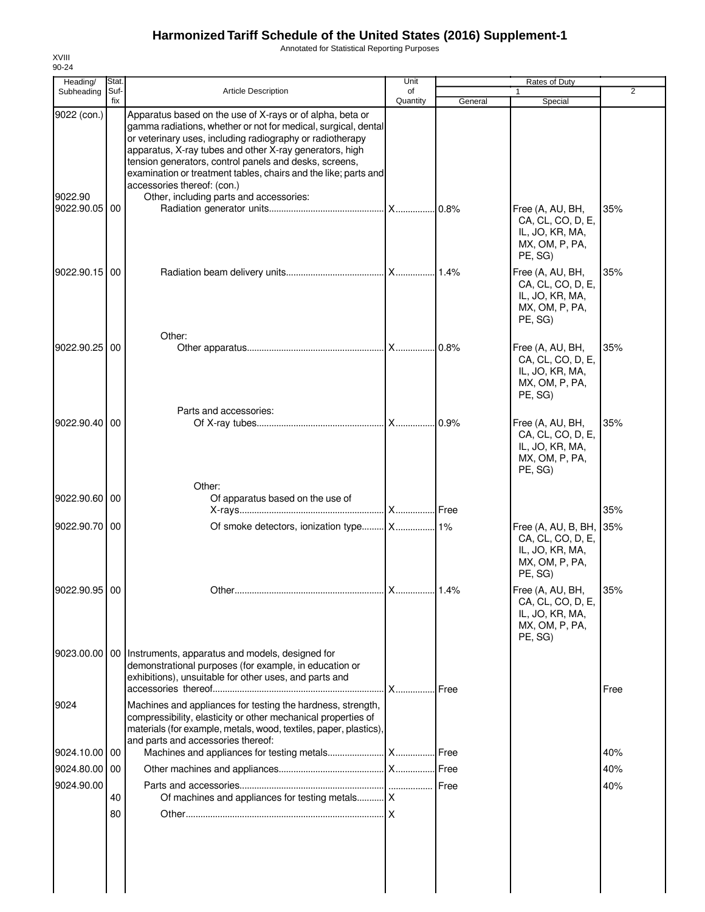Annotated for Statistical Reporting Purposes

| Heading/                 | Stat.       |                                                                                                                                                                                                                                                                                                                                                                                                                 | Unit           |         | Rates of Duty                                                                            |                |
|--------------------------|-------------|-----------------------------------------------------------------------------------------------------------------------------------------------------------------------------------------------------------------------------------------------------------------------------------------------------------------------------------------------------------------------------------------------------------------|----------------|---------|------------------------------------------------------------------------------------------|----------------|
| Subheading               | Suf-<br>fix | <b>Article Description</b>                                                                                                                                                                                                                                                                                                                                                                                      | of<br>Quantity | General | 1<br>Special                                                                             | $\overline{2}$ |
| 9022 (con.)              |             | Apparatus based on the use of X-rays or of alpha, beta or<br>gamma radiations, whether or not for medical, surgical, dental<br>or veterinary uses, including radiography or radiotherapy<br>apparatus, X-ray tubes and other X-ray generators, high<br>tension generators, control panels and desks, screens,<br>examination or treatment tables, chairs and the like; parts and<br>accessories thereof: (con.) |                |         |                                                                                          |                |
| 9022.90<br>9022.90.05 00 |             | Other, including parts and accessories:                                                                                                                                                                                                                                                                                                                                                                         |                | 0.8%    | Free (A, AU, BH,<br>CA, CL, CO, D, E,<br>IL, JO, KR, MA,<br>MX, OM, P, PA,<br>PE, SG)    | 35%            |
| 9022.90.15               | 00          |                                                                                                                                                                                                                                                                                                                                                                                                                 |                |         | Free (A, AU, BH,<br>CA, CL, CO, D, E,<br>IL, JO, KR, MA,<br>MX, OM, P, PA,<br>PE, SG)    | 35%            |
| 9022.90.25 00            |             | Other:                                                                                                                                                                                                                                                                                                                                                                                                          |                | 0.8%    | Free (A, AU, BH,<br>CA, CL, CO, D, E,<br>IL, JO, KR, MA,<br>MX, OM, P, PA,<br>PE, SG)    | 35%            |
| 9022.90.40               | 00          | Parts and accessories:                                                                                                                                                                                                                                                                                                                                                                                          |                | 0.9%    | Free (A, AU, BH,<br>CA, CL, CO, D, E,<br>IL, JO, KR, MA,<br>MX, OM, P, PA,<br>PE, SG)    | 35%            |
| 9022.90.60 00            |             | Other:<br>Of apparatus based on the use of                                                                                                                                                                                                                                                                                                                                                                      |                |         |                                                                                          | 35%            |
| 9022.90.70 00            |             |                                                                                                                                                                                                                                                                                                                                                                                                                 |                |         | Free (A, AU, B, BH,<br>CA, CL, CO, D, E,<br>IL, JO, KR, MA,<br>MX, OM, P, PA,<br>PE, SG) | 35%            |
| 9022.90.95 00            |             |                                                                                                                                                                                                                                                                                                                                                                                                                 |                |         | Free (A, AU, BH,<br>CA, CL, CO, D, E,<br>IL, JO, KR, MA,<br>MX, OM, P, PA,<br>PE, SG)    | 35%            |
| 9023.00.00               | <b>00</b>   | Instruments, apparatus and models, designed for<br>demonstrational purposes (for example, in education or<br>exhibitions), unsuitable for other uses, and parts and                                                                                                                                                                                                                                             |                | Free    |                                                                                          | Free           |
| 9024                     |             | Machines and appliances for testing the hardness, strength,<br>compressibility, elasticity or other mechanical properties of<br>materials (for example, metals, wood, textiles, paper, plastics),<br>and parts and accessories thereof:                                                                                                                                                                         |                |         |                                                                                          |                |
| 9024.10.00   00          |             |                                                                                                                                                                                                                                                                                                                                                                                                                 |                |         |                                                                                          | 40%            |
| 9024.80.00 00            |             |                                                                                                                                                                                                                                                                                                                                                                                                                 |                |         |                                                                                          | 40%            |
| 9024.90.00               |             |                                                                                                                                                                                                                                                                                                                                                                                                                 |                | Free    |                                                                                          | 40%            |
|                          | 40          | Of machines and appliances for testing metals   X                                                                                                                                                                                                                                                                                                                                                               |                |         |                                                                                          |                |
|                          | 80          |                                                                                                                                                                                                                                                                                                                                                                                                                 |                |         |                                                                                          |                |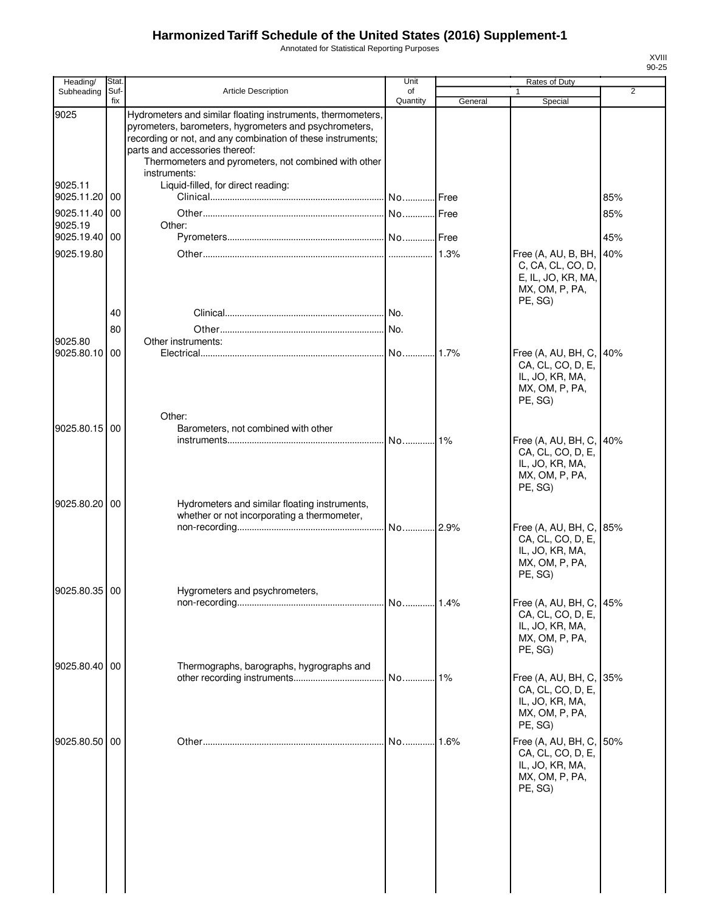Annotated for Statistical Reporting Purposes

| Heading/                    | Stat.       |                                                                                                                                                                                                                                                                                                | Unit           |         | Rates of Duty                                                                                |                |
|-----------------------------|-------------|------------------------------------------------------------------------------------------------------------------------------------------------------------------------------------------------------------------------------------------------------------------------------------------------|----------------|---------|----------------------------------------------------------------------------------------------|----------------|
| Subheading                  | Suf-<br>fix | <b>Article Description</b>                                                                                                                                                                                                                                                                     | of<br>Quantity | General | 1<br>Special                                                                                 | $\overline{2}$ |
| 9025                        |             | Hydrometers and similar floating instruments, thermometers,<br>pyrometers, barometers, hygrometers and psychrometers,<br>recording or not, and any combination of these instruments;<br>parts and accessories thereof:<br>Thermometers and pyrometers, not combined with other<br>instruments: |                |         |                                                                                              |                |
| 9025.11<br>9025.11.20       | 00          | Liquid-filled, for direct reading:                                                                                                                                                                                                                                                             |                |         |                                                                                              | 85%            |
| 9025.11.40<br>9025.19       | 00          | Other:                                                                                                                                                                                                                                                                                         |                |         |                                                                                              | 85%            |
| 9025.19.40 00<br>9025.19.80 |             |                                                                                                                                                                                                                                                                                                |                | 1.3%    | Free (A, AU, B, BH,                                                                          | 45%<br>40%     |
|                             | 40          |                                                                                                                                                                                                                                                                                                |                |         | C, CA, CL, CO, D,<br>E, IL, JO, KR, MA,<br>MX, OM, P, PA,<br>PE, SG)                         |                |
|                             | 80          |                                                                                                                                                                                                                                                                                                |                |         |                                                                                              |                |
| 9025.80                     |             | Other instruments:                                                                                                                                                                                                                                                                             |                |         |                                                                                              |                |
| 9025.80.10                  | 00          |                                                                                                                                                                                                                                                                                                |                | 1.7%    | Free (A, AU, BH, C,<br>CA, CL, CO, D, E,<br>IL, JO, KR, MA,<br>MX, OM, P, PA,<br>PE, SG)     | 40%            |
| 9025.80.15 00               |             | Other:<br>Barometers, not combined with other                                                                                                                                                                                                                                                  | No             | 1%      |                                                                                              |                |
|                             |             |                                                                                                                                                                                                                                                                                                |                |         | Free (A, AU, BH, C,<br>CA, CL, CO, D, E,<br>IL, JO, KR, MA,<br>MX, OM, P, PA,<br>PE, SG)     | 40%            |
| 9025.80.20                  | 00          | Hydrometers and similar floating instruments,<br>whether or not incorporating a thermometer,                                                                                                                                                                                                   | No 2.9%        |         | Free (A, AU, BH, C, 85%<br>CA, CL, CO, D, E,                                                 |                |
| 9025.80.35 00               |             | Hygrometers and psychrometers,                                                                                                                                                                                                                                                                 |                |         | IL, JO, KR, MA,<br>MX, OM, P, PA,<br>PE, SG)                                                 |                |
|                             |             |                                                                                                                                                                                                                                                                                                |                | 1.4%    | Free (A, AU, BH, C,<br>CA, CL, CO, D, E,<br>IL, JO, KR, MA,<br>MX, OM, P, PA,<br>PE, SG)     | 45%            |
| 9025.80.40 00               |             | Thermographs, barographs, hygrographs and                                                                                                                                                                                                                                                      | No             | $1\%$   | Free (A, AU, BH, C, 35%                                                                      |                |
|                             |             |                                                                                                                                                                                                                                                                                                |                |         | CA, CL, CO, D, E,<br>IL, JO, KR, MA,<br>MX, OM, P, PA,<br>PE, SG)                            |                |
| 9025.80.50 00               |             |                                                                                                                                                                                                                                                                                                | No             | 1.6%    | Free (A, AU, BH, C, 50%<br>CA, CL, CO, D, E,<br>IL, JO, KR, MA,<br>MX, OM, P, PA,<br>PE, SG) |                |
|                             |             |                                                                                                                                                                                                                                                                                                |                |         |                                                                                              |                |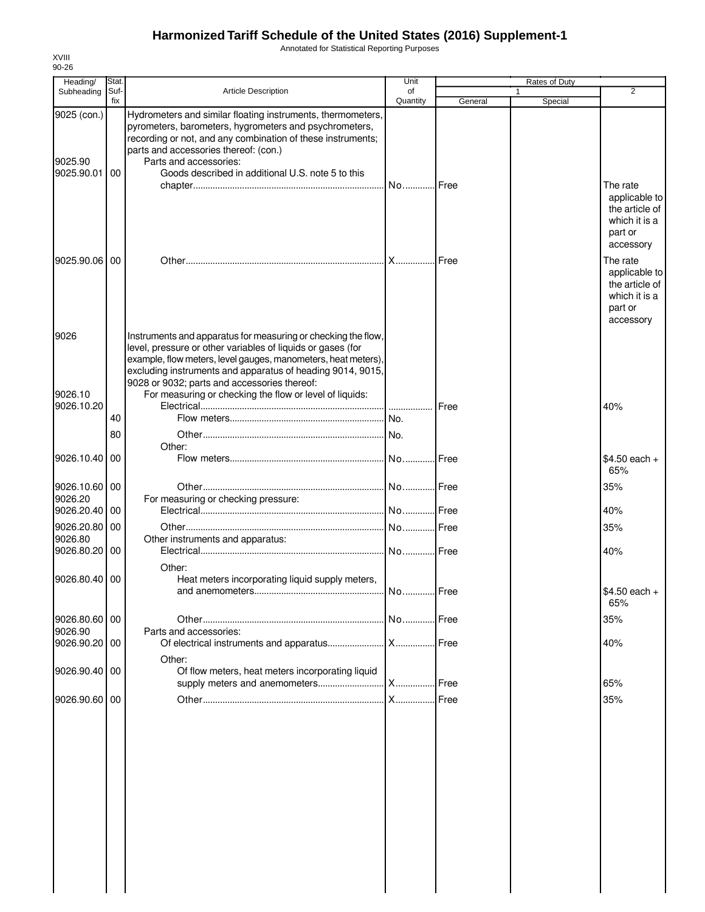Annotated for Statistical Reporting Purposes

| Heading/                             | Stat.       |                                                                                                                                                                                                                                                                                                                                                                        | Unit           |               | Rates of Duty           |                                                                                      |
|--------------------------------------|-------------|------------------------------------------------------------------------------------------------------------------------------------------------------------------------------------------------------------------------------------------------------------------------------------------------------------------------------------------------------------------------|----------------|---------------|-------------------------|--------------------------------------------------------------------------------------|
| Subheading                           | Suf-<br>fix | <b>Article Description</b>                                                                                                                                                                                                                                                                                                                                             | of<br>Quantity | General       | $\mathbf{1}$<br>Special | 2                                                                                    |
| 9025 (con.)<br>9025.90<br>9025.90.01 | <b>00</b>   | Hydrometers and similar floating instruments, thermometers,<br>pyrometers, barometers, hygrometers and psychrometers,<br>recording or not, and any combination of these instruments;<br>parts and accessories thereof: (con.)<br>Parts and accessories:<br>Goods described in additional U.S. note 5 to this                                                           | No Free        |               |                         | The rate<br>applicable to<br>the article of<br>which it is a<br>part or<br>accessory |
| 9025.90.06 00                        |             |                                                                                                                                                                                                                                                                                                                                                                        | <b>X</b>       | Free          |                         | The rate<br>applicable to<br>the article of<br>which it is a<br>part or<br>accessory |
| 9026<br>9026.10<br>9026.10.20        |             | Instruments and apparatus for measuring or checking the flow,<br>level, pressure or other variables of liquids or gases (for<br>example, flow meters, level gauges, manometers, heat meters),<br>excluding instruments and apparatus of heading 9014, 9015,<br>9028 or 9032; parts and accessories thereof:<br>For measuring or checking the flow or level of liquids: |                | <b>I</b> Free |                         | 40%                                                                                  |
|                                      | 40<br>80    |                                                                                                                                                                                                                                                                                                                                                                        |                |               |                         |                                                                                      |
| 9026.10.40 00                        |             | Other:                                                                                                                                                                                                                                                                                                                                                                 |                |               |                         | \$4.50 each +<br>65%                                                                 |
| 9026.10.60 00<br>9026.20             |             | For measuring or checking pressure:                                                                                                                                                                                                                                                                                                                                    |                |               |                         | 35%                                                                                  |
| 9026.20.40 00                        |             |                                                                                                                                                                                                                                                                                                                                                                        |                |               |                         | 40%                                                                                  |
| 9026.20.80 00                        |             |                                                                                                                                                                                                                                                                                                                                                                        |                |               |                         | 35%                                                                                  |
| 9026.80<br>9026.80.20 00             |             | Other instruments and apparatus:                                                                                                                                                                                                                                                                                                                                       | No Free        |               |                         | 40%                                                                                  |
| 9026.80.40 00                        |             | Other:<br>Heat meters incorporating liquid supply meters,                                                                                                                                                                                                                                                                                                              |                |               |                         | \$4.50 each +<br>65%                                                                 |
| 9026.80.60 00                        |             |                                                                                                                                                                                                                                                                                                                                                                        |                |               |                         | 35%                                                                                  |
| 9026.90<br>9026.90.20 00             |             | Parts and accessories:                                                                                                                                                                                                                                                                                                                                                 |                |               |                         | 40%                                                                                  |
| 9026.90.40 00                        |             | Other:<br>Of flow meters, heat meters incorporating liquid                                                                                                                                                                                                                                                                                                             |                |               |                         | 65%                                                                                  |
| 9026.90.60 00                        |             |                                                                                                                                                                                                                                                                                                                                                                        |                |               |                         | 35%                                                                                  |
|                                      |             |                                                                                                                                                                                                                                                                                                                                                                        |                |               |                         |                                                                                      |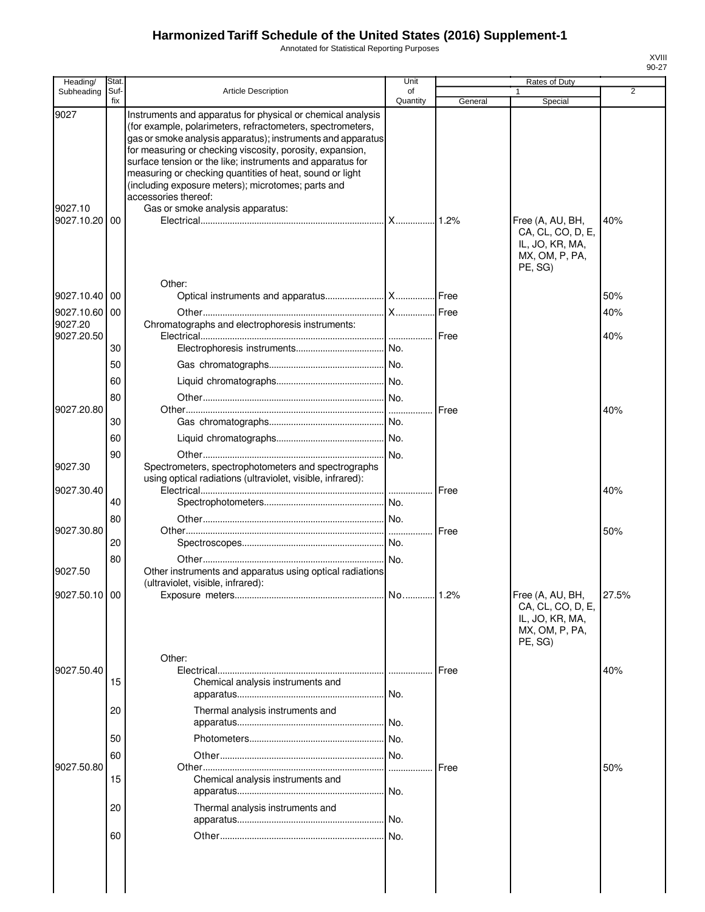Annotated for Statistical Reporting Purposes

| Heading/        | Stat.       |                                                                                                                                                                                                                                                                                                                                                                                                                                                               | Unit           |             | Rates of Duty                                                                         |                |
|-----------------|-------------|---------------------------------------------------------------------------------------------------------------------------------------------------------------------------------------------------------------------------------------------------------------------------------------------------------------------------------------------------------------------------------------------------------------------------------------------------------------|----------------|-------------|---------------------------------------------------------------------------------------|----------------|
| Subheading      | Suf-<br>fix | Article Description                                                                                                                                                                                                                                                                                                                                                                                                                                           | of<br>Quantity | General     | 1<br>Special                                                                          | $\overline{2}$ |
| 9027<br>9027.10 |             | Instruments and apparatus for physical or chemical analysis<br>(for example, polarimeters, refractometers, spectrometers,<br>gas or smoke analysis apparatus); instruments and apparatus<br>for measuring or checking viscosity, porosity, expansion,<br>surface tension or the like; instruments and apparatus for<br>measuring or checking quantities of heat, sound or light<br>(including exposure meters); microtomes; parts and<br>accessories thereof: |                |             |                                                                                       |                |
| 9027.10.20      | 00          | Gas or smoke analysis apparatus:                                                                                                                                                                                                                                                                                                                                                                                                                              |                |             | Free (A, AU, BH,<br>CA, CL, CO, D, E,<br>IL, JO, KR, MA,<br>MX, OM, P, PA,<br>PE, SG) | 40%            |
| 9027.10.40      | 00          | Other:                                                                                                                                                                                                                                                                                                                                                                                                                                                        |                |             |                                                                                       | 50%            |
| 9027.10.60      | 00          |                                                                                                                                                                                                                                                                                                                                                                                                                                                               |                |             |                                                                                       | 40%            |
| 9027.20         |             | Chromatographs and electrophoresis instruments:                                                                                                                                                                                                                                                                                                                                                                                                               |                |             |                                                                                       |                |
| 9027.20.50      |             |                                                                                                                                                                                                                                                                                                                                                                                                                                                               |                | Free        |                                                                                       | 40%            |
|                 | 30          |                                                                                                                                                                                                                                                                                                                                                                                                                                                               |                |             |                                                                                       |                |
|                 | 50          |                                                                                                                                                                                                                                                                                                                                                                                                                                                               |                |             |                                                                                       |                |
|                 | 60          |                                                                                                                                                                                                                                                                                                                                                                                                                                                               |                |             |                                                                                       |                |
|                 | 80          |                                                                                                                                                                                                                                                                                                                                                                                                                                                               |                |             |                                                                                       |                |
| 9027.20.80      | 30          |                                                                                                                                                                                                                                                                                                                                                                                                                                                               |                | Free        |                                                                                       | 40%            |
|                 | 60          |                                                                                                                                                                                                                                                                                                                                                                                                                                                               |                |             |                                                                                       |                |
|                 |             |                                                                                                                                                                                                                                                                                                                                                                                                                                                               |                |             |                                                                                       |                |
| 9027.30         | 90          | Spectrometers, spectrophotometers and spectrographs<br>using optical radiations (ultraviolet, visible, infrared):                                                                                                                                                                                                                                                                                                                                             | No.            |             |                                                                                       |                |
| 9027.30.40      |             |                                                                                                                                                                                                                                                                                                                                                                                                                                                               |                | Free        |                                                                                       | 40%            |
|                 | 40          |                                                                                                                                                                                                                                                                                                                                                                                                                                                               |                |             |                                                                                       |                |
| 9027.30.80      | 80          |                                                                                                                                                                                                                                                                                                                                                                                                                                                               |                | Free        |                                                                                       |                |
|                 | 20          |                                                                                                                                                                                                                                                                                                                                                                                                                                                               |                |             |                                                                                       | 50%            |
|                 | 80          |                                                                                                                                                                                                                                                                                                                                                                                                                                                               |                |             |                                                                                       |                |
| 9027.50         |             | Other instruments and apparatus using optical radiations<br>(ultraviolet, visible, infrared):                                                                                                                                                                                                                                                                                                                                                                 |                |             |                                                                                       |                |
| 9027.50.10 00   |             | Other:                                                                                                                                                                                                                                                                                                                                                                                                                                                        |                |             | Free (A, AU, BH,<br>CA, CL, CO, D, E,<br>IL, JO, KR, MA,<br>MX, OM, P, PA,<br>PE, SG) | 27.5%          |
| 9027.50.40      |             |                                                                                                                                                                                                                                                                                                                                                                                                                                                               |                | <b>Free</b> |                                                                                       | 40%            |
|                 | 15          | Chemical analysis instruments and                                                                                                                                                                                                                                                                                                                                                                                                                             |                |             |                                                                                       |                |
|                 | 20          | Thermal analysis instruments and                                                                                                                                                                                                                                                                                                                                                                                                                              |                |             |                                                                                       |                |
|                 | 50          |                                                                                                                                                                                                                                                                                                                                                                                                                                                               |                |             |                                                                                       |                |
|                 | 60          |                                                                                                                                                                                                                                                                                                                                                                                                                                                               |                |             |                                                                                       |                |
| 9027.50.80      | 15          | Chemical analysis instruments and                                                                                                                                                                                                                                                                                                                                                                                                                             |                | <b>Free</b> |                                                                                       | 50%            |
|                 | 20          | Thermal analysis instruments and                                                                                                                                                                                                                                                                                                                                                                                                                              |                |             |                                                                                       |                |
|                 | 60          |                                                                                                                                                                                                                                                                                                                                                                                                                                                               |                |             |                                                                                       |                |
|                 |             |                                                                                                                                                                                                                                                                                                                                                                                                                                                               |                |             |                                                                                       |                |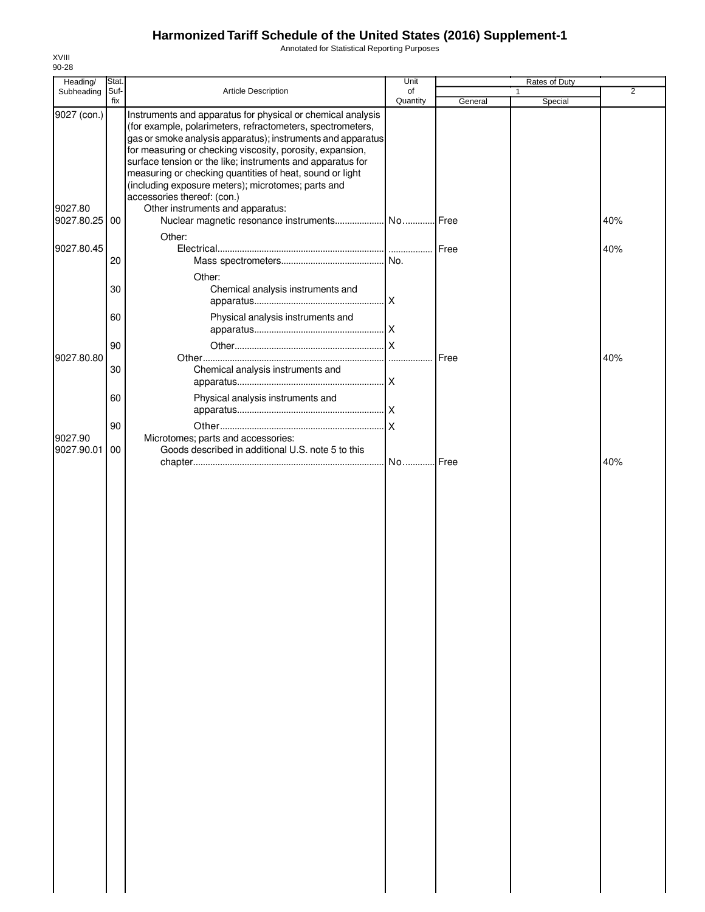Annotated for Statistical Reporting Purposes

| Heading/    | Stat.       |                                                                                                                                                                                                                                                                                                                                                                                                                                       | Unit           |         | Rates of Duty |                |
|-------------|-------------|---------------------------------------------------------------------------------------------------------------------------------------------------------------------------------------------------------------------------------------------------------------------------------------------------------------------------------------------------------------------------------------------------------------------------------------|----------------|---------|---------------|----------------|
| Subheading  | Suf-<br>fix | Article Description                                                                                                                                                                                                                                                                                                                                                                                                                   | of<br>Quantity | General | 1<br>Special  | $\overline{2}$ |
| 9027 (con.) |             | Instruments and apparatus for physical or chemical analysis<br>(for example, polarimeters, refractometers, spectrometers,<br>gas or smoke analysis apparatus); instruments and apparatus<br>for measuring or checking viscosity, porosity, expansion,<br>surface tension or the like; instruments and apparatus for<br>measuring or checking quantities of heat, sound or light<br>(including exposure meters); microtomes; parts and |                |         |               |                |
| 9027.80     |             | accessories thereof: (con.)<br>Other instruments and apparatus:                                                                                                                                                                                                                                                                                                                                                                       |                |         |               |                |
| 9027.80.25  | 00          |                                                                                                                                                                                                                                                                                                                                                                                                                                       |                |         |               | 40%            |
|             |             | Other:                                                                                                                                                                                                                                                                                                                                                                                                                                |                |         |               |                |
| 9027.80.45  |             |                                                                                                                                                                                                                                                                                                                                                                                                                                       |                |         |               | 40%            |
|             | 20          |                                                                                                                                                                                                                                                                                                                                                                                                                                       |                |         |               |                |
|             | 30          | Other:<br>Chemical analysis instruments and                                                                                                                                                                                                                                                                                                                                                                                           |                |         |               |                |
|             |             |                                                                                                                                                                                                                                                                                                                                                                                                                                       |                |         |               |                |
|             | 60          | Physical analysis instruments and                                                                                                                                                                                                                                                                                                                                                                                                     |                |         |               |                |
|             | 90          |                                                                                                                                                                                                                                                                                                                                                                                                                                       |                |         |               |                |
| 9027.80.80  |             |                                                                                                                                                                                                                                                                                                                                                                                                                                       |                | Free    |               | 40%            |
|             | 30          | Chemical analysis instruments and                                                                                                                                                                                                                                                                                                                                                                                                     |                |         |               |                |
|             | 60          | Physical analysis instruments and                                                                                                                                                                                                                                                                                                                                                                                                     |                |         |               |                |
|             |             |                                                                                                                                                                                                                                                                                                                                                                                                                                       |                |         |               |                |
|             | 90          |                                                                                                                                                                                                                                                                                                                                                                                                                                       |                |         |               |                |
| 9027.90     |             | Microtomes; parts and accessories:                                                                                                                                                                                                                                                                                                                                                                                                    |                |         |               |                |
| 9027.90.01  | 00          | Goods described in additional U.S. note 5 to this                                                                                                                                                                                                                                                                                                                                                                                     |                |         |               |                |
|             |             |                                                                                                                                                                                                                                                                                                                                                                                                                                       | No Free        |         |               | 40%            |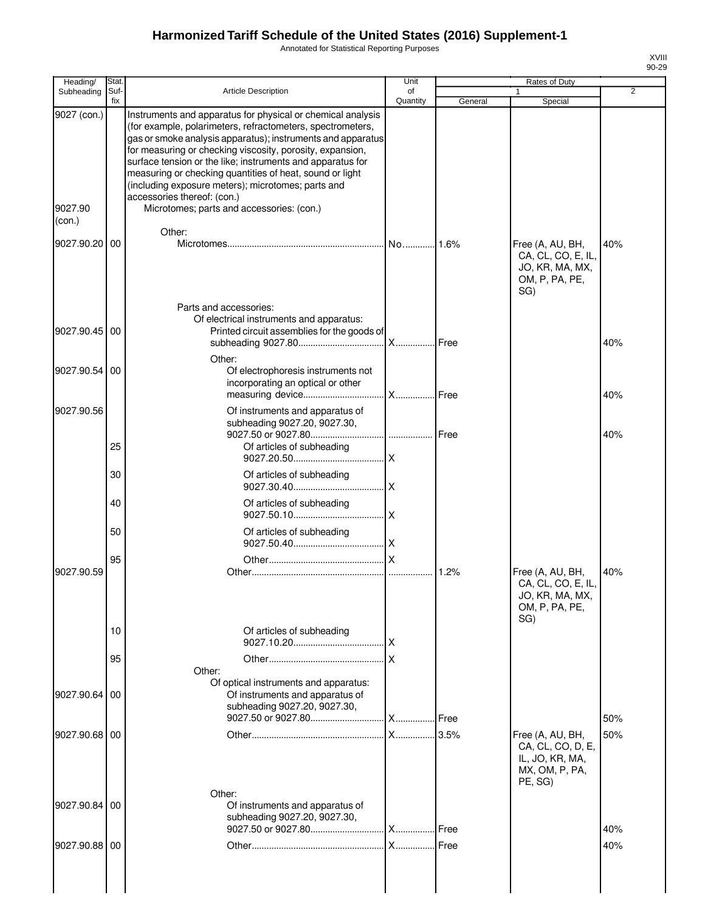Annotated for Statistical Reporting Purposes

| Heading/                         | Stat.       |                                                                                                                                                                                                                                                                                                                                                                                                                                                                                                                   | Unit           |         | Rates of Duty                                                                         |     |
|----------------------------------|-------------|-------------------------------------------------------------------------------------------------------------------------------------------------------------------------------------------------------------------------------------------------------------------------------------------------------------------------------------------------------------------------------------------------------------------------------------------------------------------------------------------------------------------|----------------|---------|---------------------------------------------------------------------------------------|-----|
| Subheading                       | Suf-<br>fix | <b>Article Description</b>                                                                                                                                                                                                                                                                                                                                                                                                                                                                                        | of<br>Quantity | General | 1<br>Special                                                                          | 2   |
| 9027 (con.)<br>9027.90<br>(con.) |             | Instruments and apparatus for physical or chemical analysis<br>(for example, polarimeters, refractometers, spectrometers,<br>gas or smoke analysis apparatus); instruments and apparatus<br>for measuring or checking viscosity, porosity, expansion,<br>surface tension or the like; instruments and apparatus for<br>measuring or checking quantities of heat, sound or light<br>(including exposure meters); microtomes; parts and<br>accessories thereof: (con.)<br>Microtomes; parts and accessories: (con.) |                |         |                                                                                       |     |
| 9027.90.20 00                    |             | Other:                                                                                                                                                                                                                                                                                                                                                                                                                                                                                                            |                |         | Free (A, AU, BH,<br>CA, CL, CO, E, IL,<br>JO, KR, MA, MX,<br>OM, P, PA, PE,<br>SG)    | 40% |
| 9027.90.45                       | 00          | Parts and accessories:<br>Of electrical instruments and apparatus:<br>Printed circuit assemblies for the goods of                                                                                                                                                                                                                                                                                                                                                                                                 | X Free         |         |                                                                                       | 40% |
| 9027.90.54                       | 00          | Other:<br>Of electrophoresis instruments not<br>incorporating an optical or other                                                                                                                                                                                                                                                                                                                                                                                                                                 | <b>X</b> Free  |         |                                                                                       | 40% |
| 9027.90.56                       | 25          | Of instruments and apparatus of<br>subheading 9027.20, 9027.30,<br>Of articles of subheading                                                                                                                                                                                                                                                                                                                                                                                                                      |                |         |                                                                                       | 40% |
|                                  | 30          | Of articles of subheading                                                                                                                                                                                                                                                                                                                                                                                                                                                                                         |                |         |                                                                                       |     |
|                                  | 40          | Of articles of subheading                                                                                                                                                                                                                                                                                                                                                                                                                                                                                         |                |         |                                                                                       |     |
|                                  | 50          | Of articles of subheading                                                                                                                                                                                                                                                                                                                                                                                                                                                                                         |                |         |                                                                                       |     |
| 9027.90.59                       | 95          |                                                                                                                                                                                                                                                                                                                                                                                                                                                                                                                   |                |         | Free (A, AU, BH,<br>CA, CL, CO, E, IL,<br>JO, KR, MA, MX,<br>OM, P, PA, PE,<br>SG)    | 40% |
|                                  | 10          | Of articles of subheading                                                                                                                                                                                                                                                                                                                                                                                                                                                                                         |                |         |                                                                                       |     |
|                                  | 95          | Other:                                                                                                                                                                                                                                                                                                                                                                                                                                                                                                            |                |         |                                                                                       |     |
| 9027.90.64                       | 00          | Of optical instruments and apparatus:<br>Of instruments and apparatus of<br>subheading 9027.20, 9027.30,                                                                                                                                                                                                                                                                                                                                                                                                          |                |         |                                                                                       | 50% |
| 9027.90.68 00                    |             |                                                                                                                                                                                                                                                                                                                                                                                                                                                                                                                   |                |         | Free (A, AU, BH,<br>CA, CL, CO, D, E,<br>IL, JO, KR, MA,<br>MX, OM, P, PA,<br>PE, SG) | 50% |
| 9027.90.84                       | 00          | Other:<br>Of instruments and apparatus of<br>subheading 9027.20, 9027.30,                                                                                                                                                                                                                                                                                                                                                                                                                                         |                |         |                                                                                       | 40% |
| 9027.90.88 00                    |             |                                                                                                                                                                                                                                                                                                                                                                                                                                                                                                                   |                |         |                                                                                       | 40% |
|                                  |             |                                                                                                                                                                                                                                                                                                                                                                                                                                                                                                                   |                |         |                                                                                       |     |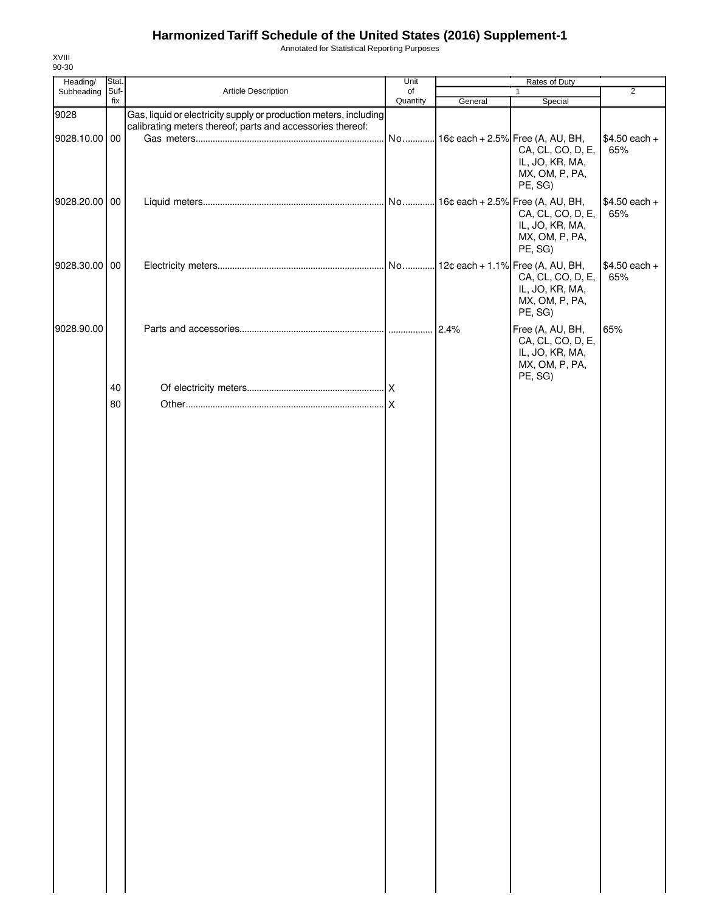Annotated for Statistical Reporting Purposes

| Heading/<br>Subheading | Stat.<br>Suf- | Article Description                                                                                                             | Unit<br>of |         | Rates of Duty<br>$\mathbf{1}$                                                         | $\overline{2}$        |
|------------------------|---------------|---------------------------------------------------------------------------------------------------------------------------------|------------|---------|---------------------------------------------------------------------------------------|-----------------------|
|                        | fix           |                                                                                                                                 | Quantity   | General | Special                                                                               |                       |
| 9028<br>9028.10.00 00  |               | Gas, liquid or electricity supply or production meters, including<br>calibrating meters thereof; parts and accessories thereof: | No         |         | 16¢ each + 2.5% Free (A, AU, BH,                                                      | $$4.50$ each +        |
|                        |               |                                                                                                                                 |            |         | CA, CL, CO, D, E,<br>IL, JO, KR, MA,<br>MX, OM, P, PA,<br>PE, SG)                     | 65%                   |
| 9028.20.00 00          |               |                                                                                                                                 |            |         | CA, CL, CO, D, E,<br>IL, JO, KR, MA,<br>MX, OM, P, PA,<br>PE, SG)                     | $$4.50$ each +<br>65% |
| 9028.30.00 00          |               |                                                                                                                                 |            |         | CA, CL, CO, D, E,<br>IL, JO, KR, MA,<br>MX, OM, P, PA,<br>PE, SG)                     | $$4.50$ each +<br>65% |
| 9028.90.00             |               |                                                                                                                                 |            | 2.4%    | Free (A, AU, BH,<br>CA, CL, CO, D, E,<br>IL, JO, KR, MA,<br>MX, OM, P, PA,<br>PE, SG) | 65%                   |
|                        | 40            |                                                                                                                                 |            |         |                                                                                       |                       |
|                        | 80            |                                                                                                                                 |            |         |                                                                                       |                       |
|                        |               |                                                                                                                                 |            |         |                                                                                       |                       |
|                        |               |                                                                                                                                 |            |         |                                                                                       |                       |
|                        |               |                                                                                                                                 |            |         |                                                                                       |                       |
|                        |               |                                                                                                                                 |            |         |                                                                                       |                       |
|                        |               |                                                                                                                                 |            |         |                                                                                       |                       |
|                        |               |                                                                                                                                 |            |         |                                                                                       |                       |
|                        |               |                                                                                                                                 |            |         |                                                                                       |                       |
|                        |               |                                                                                                                                 |            |         |                                                                                       |                       |
|                        |               |                                                                                                                                 |            |         |                                                                                       |                       |
|                        |               |                                                                                                                                 |            |         |                                                                                       |                       |
|                        |               |                                                                                                                                 |            |         |                                                                                       |                       |
|                        |               |                                                                                                                                 |            |         |                                                                                       |                       |
|                        |               |                                                                                                                                 |            |         |                                                                                       |                       |
|                        |               |                                                                                                                                 |            |         |                                                                                       |                       |
|                        |               |                                                                                                                                 |            |         |                                                                                       |                       |
|                        |               |                                                                                                                                 |            |         |                                                                                       |                       |
|                        |               |                                                                                                                                 |            |         |                                                                                       |                       |
|                        |               |                                                                                                                                 |            |         |                                                                                       |                       |
|                        |               |                                                                                                                                 |            |         |                                                                                       |                       |
|                        |               |                                                                                                                                 |            |         |                                                                                       |                       |
|                        |               |                                                                                                                                 |            |         |                                                                                       |                       |
|                        |               |                                                                                                                                 |            |         |                                                                                       |                       |
|                        |               |                                                                                                                                 |            |         |                                                                                       |                       |
|                        |               |                                                                                                                                 |            |         |                                                                                       |                       |
|                        |               |                                                                                                                                 |            |         |                                                                                       |                       |
|                        |               |                                                                                                                                 |            |         |                                                                                       |                       |
|                        |               |                                                                                                                                 |            |         |                                                                                       |                       |

XVIII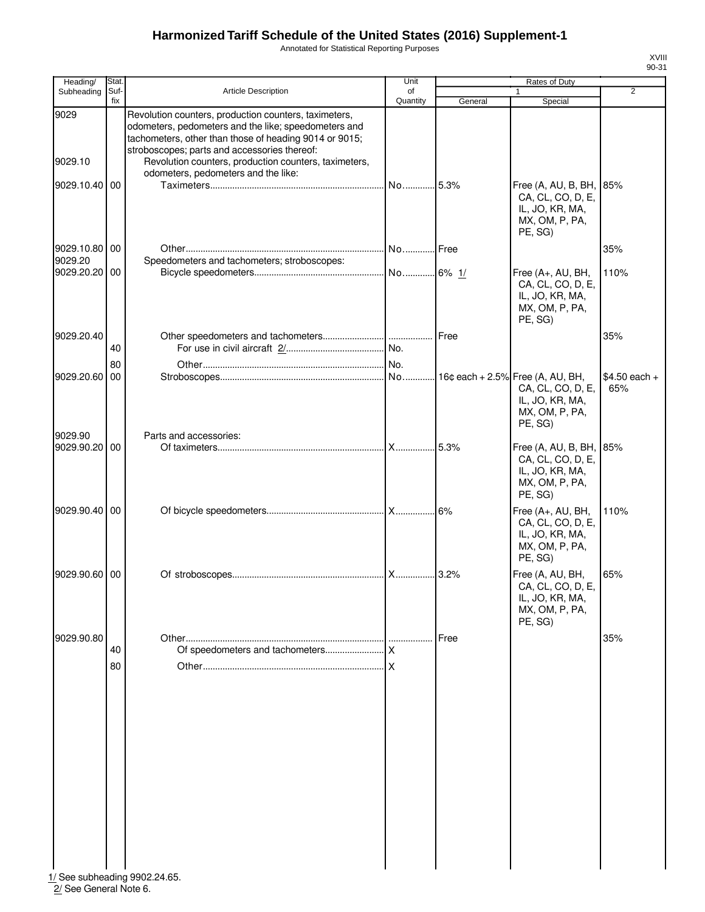Annotated for Statistical Reporting Purposes

| Heading/        | Stat.       |                                                                                                                                                                                                                         | Unit           |         | Rates of Duty                                                                                |                       |
|-----------------|-------------|-------------------------------------------------------------------------------------------------------------------------------------------------------------------------------------------------------------------------|----------------|---------|----------------------------------------------------------------------------------------------|-----------------------|
| Subheading      | Suf-<br>fix | <b>Article Description</b>                                                                                                                                                                                              | of<br>Quantity | General | 1<br>Special                                                                                 | $\overline{2}$        |
| 9029<br>9029.10 |             | Revolution counters, production counters, taximeters,<br>odometers, pedometers and the like; speedometers and<br>tachometers, other than those of heading 9014 or 9015;<br>stroboscopes; parts and accessories thereof: |                |         |                                                                                              |                       |
|                 |             | Revolution counters, production counters, taximeters,<br>odometers, pedometers and the like:                                                                                                                            |                |         |                                                                                              |                       |
| 9029.10.40      | 00          |                                                                                                                                                                                                                         | No             | .5.3%   | Free (A, AU, B, BH, 85%<br>CA, CL, CO, D, E,<br>IL, JO, KR, MA,<br>MX, OM, P, PA,<br>PE, SG) |                       |
| 9029.10.80      | 00          |                                                                                                                                                                                                                         |                |         |                                                                                              | 35%                   |
| 9029.20         |             | Speedometers and tachometers; stroboscopes:                                                                                                                                                                             |                |         |                                                                                              |                       |
| 9029.20.20      | 00          |                                                                                                                                                                                                                         |                |         | Free (A+, AU, BH,<br>CA, CL, CO, D, E,<br>IL, JO, KR, MA,<br>MX, OM, P, PA,<br>PE, SG)       | 110%                  |
| 9029.20.40      |             |                                                                                                                                                                                                                         |                | Free    |                                                                                              | 35%                   |
|                 | 40          |                                                                                                                                                                                                                         |                |         |                                                                                              |                       |
|                 | 80          |                                                                                                                                                                                                                         |                |         |                                                                                              |                       |
| 9029.20.60      | 00          |                                                                                                                                                                                                                         |                |         | CA, CL, CO, D, E,<br>IL, JO, KR, MA,<br>MX, OM, P, PA,<br>PE, SG)                            | $$4.50$ each +<br>65% |
| 9029.90         |             | Parts and accessories:                                                                                                                                                                                                  |                |         |                                                                                              |                       |
| 9029.90.20      | 00          |                                                                                                                                                                                                                         | X              | 5.3%    | Free (A, AU, B, BH, 85%<br>CA, CL, CO, D, E,<br>IL, JO, KR, MA,<br>MX, OM, P, PA,<br>PE, SG) |                       |
| 9029.90.40      | 00          |                                                                                                                                                                                                                         |                |         | Free (A+, AU, BH,<br>CA, CL, CO, D, E,<br>IL, JO, KR, MA,<br>MX, OM, P, PA,<br>PE, SG)       | 110%                  |
| 9029.90.60      | 00          |                                                                                                                                                                                                                         |                | 3.2%    | Free (A, AU, BH,<br>CA, CL, CO, D, E,<br>IL, JO, KR, MA,<br>MX, OM, P, PA,<br>PE, SG)        | 65%                   |
| 9029.90.80      |             |                                                                                                                                                                                                                         |                | Free    |                                                                                              | 35%                   |
|                 | 40          |                                                                                                                                                                                                                         |                |         |                                                                                              |                       |
|                 | 80          |                                                                                                                                                                                                                         |                |         |                                                                                              |                       |

1/ See subheading 9902.24.65. 2/ See General Note 6.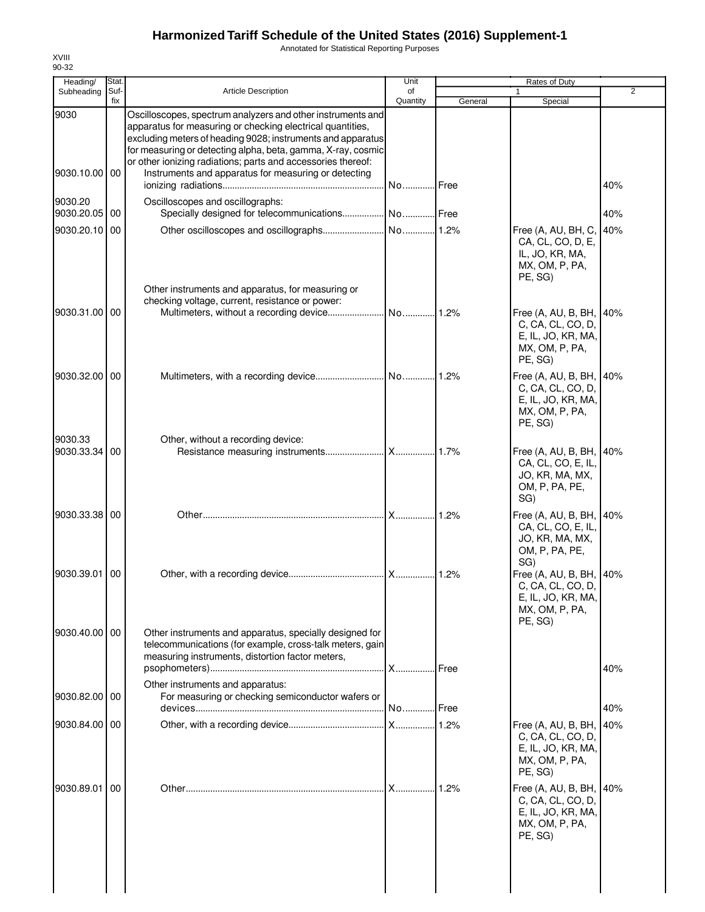Annotated for Statistical Reporting Purposes

| Heading/              | Stat.       |                                                                                                                                                                                                                                                                                                                                                                                  | Unit           |         | Rates of Duty                                                                                          |                |
|-----------------------|-------------|----------------------------------------------------------------------------------------------------------------------------------------------------------------------------------------------------------------------------------------------------------------------------------------------------------------------------------------------------------------------------------|----------------|---------|--------------------------------------------------------------------------------------------------------|----------------|
| Subheading            | Suf-<br>fix | <b>Article Description</b>                                                                                                                                                                                                                                                                                                                                                       | of<br>Quantity | General | 1<br>Special                                                                                           | $\overline{2}$ |
| 9030<br>9030.10.00    | 00          | Oscilloscopes, spectrum analyzers and other instruments and<br>apparatus for measuring or checking electrical quantities,<br>excluding meters of heading 9028; instruments and apparatus<br>for measuring or detecting alpha, beta, gamma, X-ray, cosmic<br>or other ionizing radiations; parts and accessories thereof:<br>Instruments and apparatus for measuring or detecting | No Free        |         |                                                                                                        | 40%            |
| 9030.20               |             | Oscilloscopes and oscillographs:                                                                                                                                                                                                                                                                                                                                                 |                |         |                                                                                                        |                |
| 9030.20.05            | 00          | Specially designed for telecommunications No Free                                                                                                                                                                                                                                                                                                                                |                |         |                                                                                                        | 40%            |
| 9030.20.10            | 00          | Other instruments and apparatus, for measuring or                                                                                                                                                                                                                                                                                                                                |                |         | Free (A, AU, BH, C,<br>CA, CL, CO, D, E,<br>IL, JO, KR, MA,<br>MX, OM, P, PA,<br>PE, SG)               | 40%            |
| 9030.31.00            | 00          | checking voltage, current, resistance or power:                                                                                                                                                                                                                                                                                                                                  | No  1.2%       |         | Free (A, AU, B, BH,<br>C, CA, CL, CO, D,<br>E, IL, JO, KR, MA,<br>MX, OM, P, PA,<br>PE, SG)            | 40%            |
| 9030.32.00 00         |             |                                                                                                                                                                                                                                                                                                                                                                                  |                |         | Free (A, AU, B, BH,<br>C, CA, CL, CO, D,<br>E, IL, JO, KR, MA,<br>MX, OM, P, PA,<br>PE, SG)            | 40%            |
| 9030.33<br>9030.33.34 | 00          | Other, without a recording device:                                                                                                                                                                                                                                                                                                                                               |                |         | Free (A, AU, B, BH,<br>CA, CL, CO, E, IL,<br>JO, KR, MA, MX,<br>OM, P, PA, PE,<br>SG)                  | 40%            |
| 9030.33.38            | 00          |                                                                                                                                                                                                                                                                                                                                                                                  |                |         | Free (A, AU, B, BH,<br>CA, CL, CO, E, IL,<br>JO, KR, MA, MX,<br>OM, P, PA, PE,                         | 40%            |
| 9030.39.01            | 00          |                                                                                                                                                                                                                                                                                                                                                                                  |                |         | SG)<br>Free (A, AU, B, BH, 40%<br>C, CA, CL, CO, D.<br>E, IL, JO, KR, MA,<br>MX, OM, P, PA,<br>PE, SG) |                |
| 9030.40.00 00         |             | Other instruments and apparatus, specially designed for<br>telecommunications (for example, cross-talk meters, gain<br>measuring instruments, distortion factor meters,                                                                                                                                                                                                          | <b>X</b> Free  |         |                                                                                                        | 40%            |
| 9030.82.00 00         |             | Other instruments and apparatus:<br>For measuring or checking semiconductor wafers or                                                                                                                                                                                                                                                                                            | No Free        |         |                                                                                                        | 40%            |
| 9030.84.00 00         |             |                                                                                                                                                                                                                                                                                                                                                                                  |                |         | Free (A, AU, B, BH,<br>C, CA, CL, CO, D,<br>E, IL, JO, KR, MA,<br>MX, OM, P, PA,<br>PE, SG)            | 40%            |
| 9030.89.01            | 00          |                                                                                                                                                                                                                                                                                                                                                                                  |                | .1.2%   | Free (A, AU, B, BH,<br>C, CA, CL, CO, D,<br>E, IL, JO, KR, MA,<br>MX, OM, P, PA,<br>PE, SG)            | 40%            |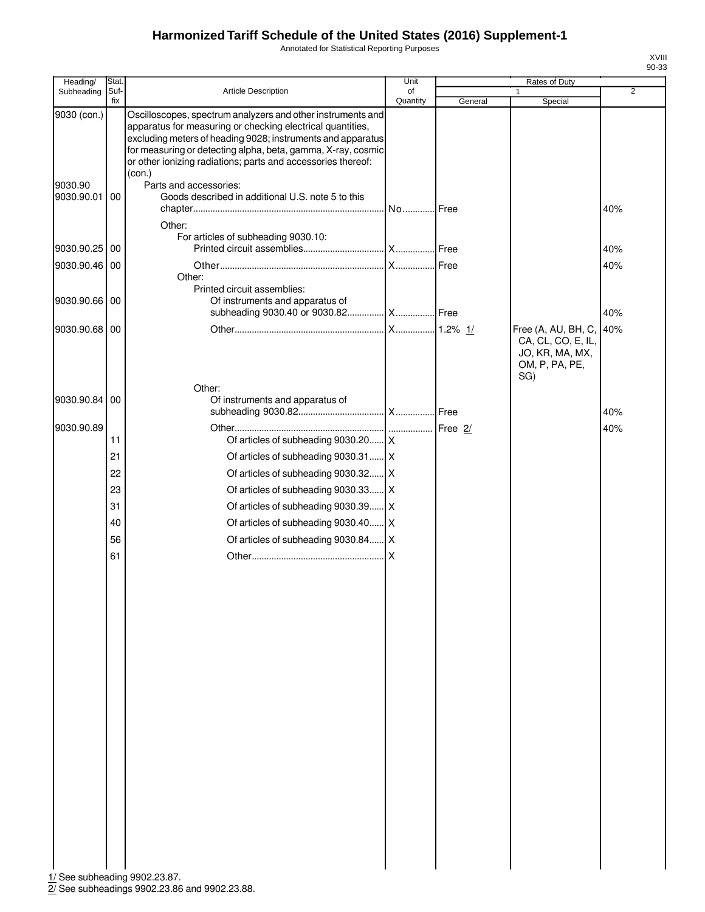Annotated for Statistical Reporting Purposes

| Heading/              | Stat.       |                                                                                                                                                                                                                                                                                                                                    | Unit           |         | Rates of Duty                                                  |                |
|-----------------------|-------------|------------------------------------------------------------------------------------------------------------------------------------------------------------------------------------------------------------------------------------------------------------------------------------------------------------------------------------|----------------|---------|----------------------------------------------------------------|----------------|
| Subheading            | Suf-<br>fix | Article Description                                                                                                                                                                                                                                                                                                                | of<br>Quantity | General | 1<br>Special                                                   | $\overline{2}$ |
| 9030 (con.)           |             | Oscilloscopes, spectrum analyzers and other instruments and<br>apparatus for measuring or checking electrical quantities,<br>excluding meters of heading 9028; instruments and apparatus<br>for measuring or detecting alpha, beta, gamma, X-ray, cosmic<br>or other ionizing radiations; parts and accessories thereof:<br>(con.) |                |         |                                                                |                |
| 9030.90<br>9030.90.01 | 00          | Parts and accessories:<br>Goods described in additional U.S. note 5 to this                                                                                                                                                                                                                                                        | No Free        |         |                                                                | 40%            |
|                       |             | Other:                                                                                                                                                                                                                                                                                                                             |                |         |                                                                |                |
| 9030.90.25 00         |             | For articles of subheading 9030.10:                                                                                                                                                                                                                                                                                                |                |         |                                                                | 40%            |
| 9030.90.46 00         |             |                                                                                                                                                                                                                                                                                                                                    |                |         |                                                                | 40%            |
|                       |             | Other:                                                                                                                                                                                                                                                                                                                             |                |         |                                                                |                |
| 9030.90.66 00         |             | Printed circuit assemblies:<br>Of instruments and apparatus of                                                                                                                                                                                                                                                                     |                |         |                                                                |                |
|                       |             | subheading 9030.40 or 9030.82  X Free                                                                                                                                                                                                                                                                                              |                |         |                                                                | 40%            |
| 9030.90.68 00         |             |                                                                                                                                                                                                                                                                                                                                    |                |         | Free (A, AU, BH, C,                                            | 40%            |
|                       |             |                                                                                                                                                                                                                                                                                                                                    |                |         | CA, CL, CO, E, IL,<br>JO, KR, MA, MX,<br>OM, P, PA, PE,<br>SG) |                |
| 9030.90.84            |             | Other:<br>Of instruments and apparatus of                                                                                                                                                                                                                                                                                          |                |         |                                                                |                |
|                       | 00          |                                                                                                                                                                                                                                                                                                                                    |                |         |                                                                | 40%            |
| 9030.90.89            |             |                                                                                                                                                                                                                                                                                                                                    |                |         |                                                                | 40%            |
|                       | 11          | Of articles of subheading 9030.20 X                                                                                                                                                                                                                                                                                                |                |         |                                                                |                |
|                       | 21          | Of articles of subheading 9030.31 X                                                                                                                                                                                                                                                                                                |                |         |                                                                |                |
|                       | 22          | Of articles of subheading 9030.32 X                                                                                                                                                                                                                                                                                                |                |         |                                                                |                |
|                       | 23          | Of articles of subheading 9030.33 X                                                                                                                                                                                                                                                                                                |                |         |                                                                |                |
|                       | 31          | Of articles of subheading 9030.39 X                                                                                                                                                                                                                                                                                                |                |         |                                                                |                |
|                       | 40          | Of articles of subheading 9030.40 X                                                                                                                                                                                                                                                                                                |                |         |                                                                |                |
|                       | 56          | Of articles of subheading 9030.84 X                                                                                                                                                                                                                                                                                                |                |         |                                                                |                |
|                       | 61          |                                                                                                                                                                                                                                                                                                                                    |                |         |                                                                |                |
|                       |             |                                                                                                                                                                                                                                                                                                                                    |                |         |                                                                |                |
|                       |             |                                                                                                                                                                                                                                                                                                                                    |                |         |                                                                |                |
|                       |             |                                                                                                                                                                                                                                                                                                                                    |                |         |                                                                |                |
|                       |             |                                                                                                                                                                                                                                                                                                                                    |                |         |                                                                |                |
|                       |             |                                                                                                                                                                                                                                                                                                                                    |                |         |                                                                |                |
|                       |             |                                                                                                                                                                                                                                                                                                                                    |                |         |                                                                |                |
|                       |             |                                                                                                                                                                                                                                                                                                                                    |                |         |                                                                |                |
|                       |             |                                                                                                                                                                                                                                                                                                                                    |                |         |                                                                |                |
|                       |             |                                                                                                                                                                                                                                                                                                                                    |                |         |                                                                |                |
|                       |             |                                                                                                                                                                                                                                                                                                                                    |                |         |                                                                |                |
|                       |             |                                                                                                                                                                                                                                                                                                                                    |                |         |                                                                |                |
|                       |             |                                                                                                                                                                                                                                                                                                                                    |                |         |                                                                |                |
|                       |             |                                                                                                                                                                                                                                                                                                                                    |                |         |                                                                |                |
|                       |             |                                                                                                                                                                                                                                                                                                                                    |                |         |                                                                |                |
|                       |             |                                                                                                                                                                                                                                                                                                                                    |                |         |                                                                |                |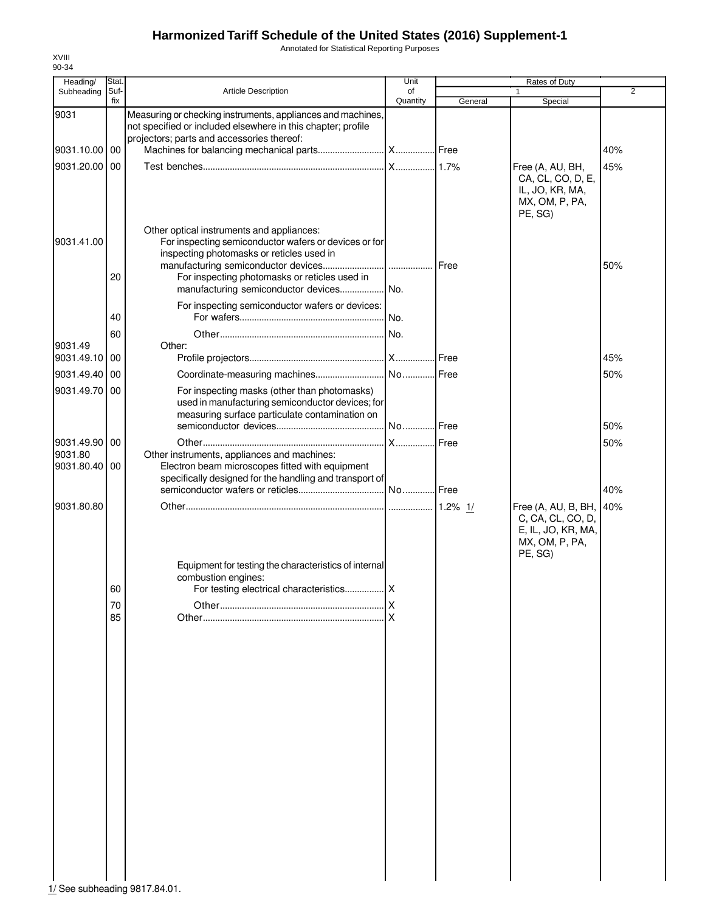Annotated for Statistical Reporting Purposes

| Heading/              | Stat.       |                                                                                                                                                                                                                                             | Unit           |         | Rates of Duty                                                                               |                |
|-----------------------|-------------|---------------------------------------------------------------------------------------------------------------------------------------------------------------------------------------------------------------------------------------------|----------------|---------|---------------------------------------------------------------------------------------------|----------------|
| Subheading            | Suf-<br>fix | <b>Article Description</b>                                                                                                                                                                                                                  | of<br>Quantity | General | Special                                                                                     | $\overline{2}$ |
| 9031                  |             | Measuring or checking instruments, appliances and machines,<br>not specified or included elsewhere in this chapter; profile                                                                                                                 |                |         |                                                                                             |                |
| 9031.10.00            | 00          | projectors; parts and accessories thereof:                                                                                                                                                                                                  |                |         |                                                                                             | 40%            |
|                       |             |                                                                                                                                                                                                                                             |                |         |                                                                                             |                |
| 9031.20.00            | 00          |                                                                                                                                                                                                                                             | X 1.7%         |         | Free (A, AU, BH,<br>CA, CL, CO, D, E,<br>IL, JO, KR, MA,<br>MX, OM, P, PA,<br>PE, SG)       | 45%            |
| 9031.41.00            | 20          | Other optical instruments and appliances:<br>For inspecting semiconductor wafers or devices or for<br>inspecting photomasks or reticles used in<br>For inspecting photomasks or reticles used in<br>manufacturing semiconductor devices No. |                |         |                                                                                             | 50%            |
|                       | 40          | For inspecting semiconductor wafers or devices:                                                                                                                                                                                             |                |         |                                                                                             |                |
|                       | 60          |                                                                                                                                                                                                                                             | No.            |         |                                                                                             |                |
| 9031.49               |             | Other:                                                                                                                                                                                                                                      |                |         |                                                                                             |                |
| 9031.49.10            | 00          |                                                                                                                                                                                                                                             |                |         |                                                                                             | 45%            |
| 9031.49.40            | 00          | Coordinate-measuring machines                                                                                                                                                                                                               | No Free        |         |                                                                                             | 50%            |
| 9031.49.70            | 00          | For inspecting masks (other than photomasks)<br>used in manufacturing semiconductor devices; for<br>measuring surface particulate contamination on                                                                                          | No Free        |         |                                                                                             | 50%            |
| 9031.49.90            | 00          |                                                                                                                                                                                                                                             | X              | Free    |                                                                                             | 50%            |
| 9031.80<br>9031.80.40 | 00          | Other instruments, appliances and machines:<br>Electron beam microscopes fitted with equipment<br>specifically designed for the handling and transport of                                                                                   |                |         |                                                                                             |                |
|                       |             |                                                                                                                                                                                                                                             |                |         |                                                                                             | 40%            |
| 9031.80.80            | 60          | Equipment for testing the characteristics of internal<br>combustion engines:                                                                                                                                                                |                |         | Free (A, AU, B, BH,<br>C, CA, CL, CO, D,<br>E, IL, JO, KR, MA,<br>MX, OM, P, PA,<br>PE, SG) | 40%            |
|                       | 70          |                                                                                                                                                                                                                                             | X              |         |                                                                                             |                |
|                       | 85          |                                                                                                                                                                                                                                             | X              |         |                                                                                             |                |

XVIII 90-34

1/ See subheading 9817.84.01.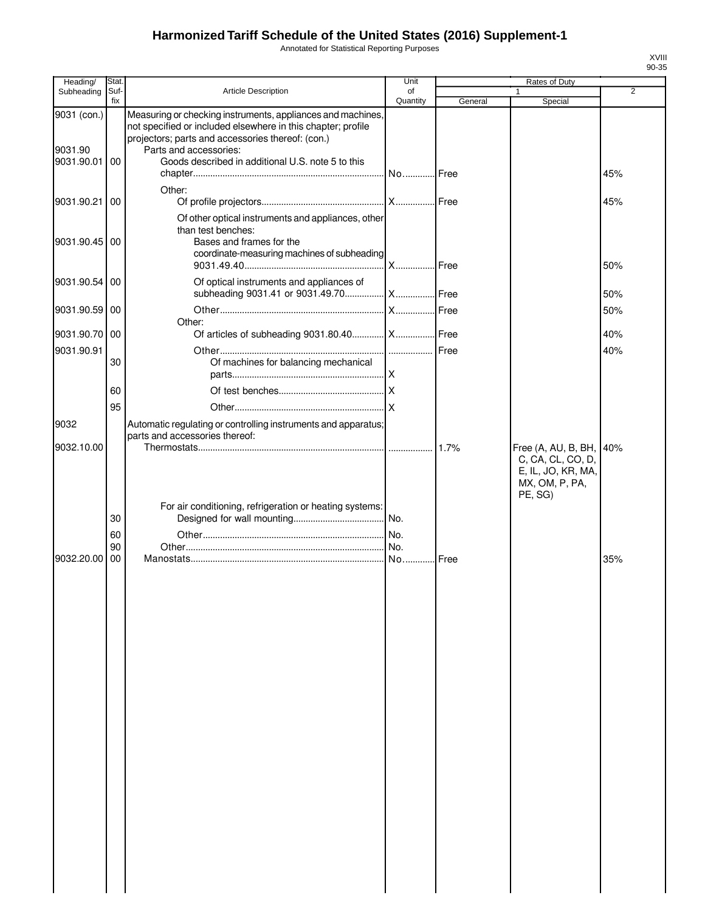Annotated for Statistical Reporting Purposes

| Heading/                             | Stat.           |                                                                                                                                                                                                                                                                 | Unit           |         | Rates of Duty                                                                               |                |
|--------------------------------------|-----------------|-----------------------------------------------------------------------------------------------------------------------------------------------------------------------------------------------------------------------------------------------------------------|----------------|---------|---------------------------------------------------------------------------------------------|----------------|
| Subheading                           | Suf-<br>fix     | <b>Article Description</b>                                                                                                                                                                                                                                      | of<br>Quantity | General | 1<br>Special                                                                                | $\overline{2}$ |
| 9031 (con.)<br>9031.90<br>9031.90.01 | $\overline{00}$ | Measuring or checking instruments, appliances and machines,<br>not specified or included elsewhere in this chapter; profile<br>projectors; parts and accessories thereof: (con.)<br>Parts and accessories:<br>Goods described in additional U.S. note 5 to this | No Free        |         |                                                                                             | 45%            |
| 9031.90.21                           | 00              | Other:                                                                                                                                                                                                                                                          |                |         |                                                                                             | 45%            |
| 9031.90.45 00                        |                 | Of other optical instruments and appliances, other<br>than test benches:<br>Bases and frames for the<br>coordinate-measuring machines of subheading                                                                                                             | <b>X</b> Free  |         |                                                                                             | 50%            |
| 9031.90.54                           | 00              | Of optical instruments and appliances of                                                                                                                                                                                                                        |                |         |                                                                                             | 50%            |
| 9031.90.59 00                        |                 | Other:                                                                                                                                                                                                                                                          |                |         |                                                                                             | 50%            |
| 9031.90.70 00                        |                 | Of articles of subheading 9031.80.40   X   Free                                                                                                                                                                                                                 |                |         |                                                                                             | 40%            |
| 9031.90.91                           | 30              | Of machines for balancing mechanical                                                                                                                                                                                                                            |                |         |                                                                                             | 40%            |
|                                      | 60<br>95        |                                                                                                                                                                                                                                                                 |                |         |                                                                                             |                |
| 9032<br>9032.10.00                   |                 | Automatic regulating or controlling instruments and apparatus;<br>parts and accessories thereof:                                                                                                                                                                |                |         |                                                                                             |                |
|                                      | 30<br>60        | For air conditioning, refrigeration or heating systems:                                                                                                                                                                                                         |                |         | Free (A, AU, B, BH,<br>C, CA, CL, CO, D,<br>E, IL, JO, KR, MA,<br>MX, OM, P, PA,<br>PE, SG) | 40%            |
| 9032.20.00                           | 90<br>00        |                                                                                                                                                                                                                                                                 |                | Free    |                                                                                             | 35%            |
|                                      |                 |                                                                                                                                                                                                                                                                 |                |         |                                                                                             |                |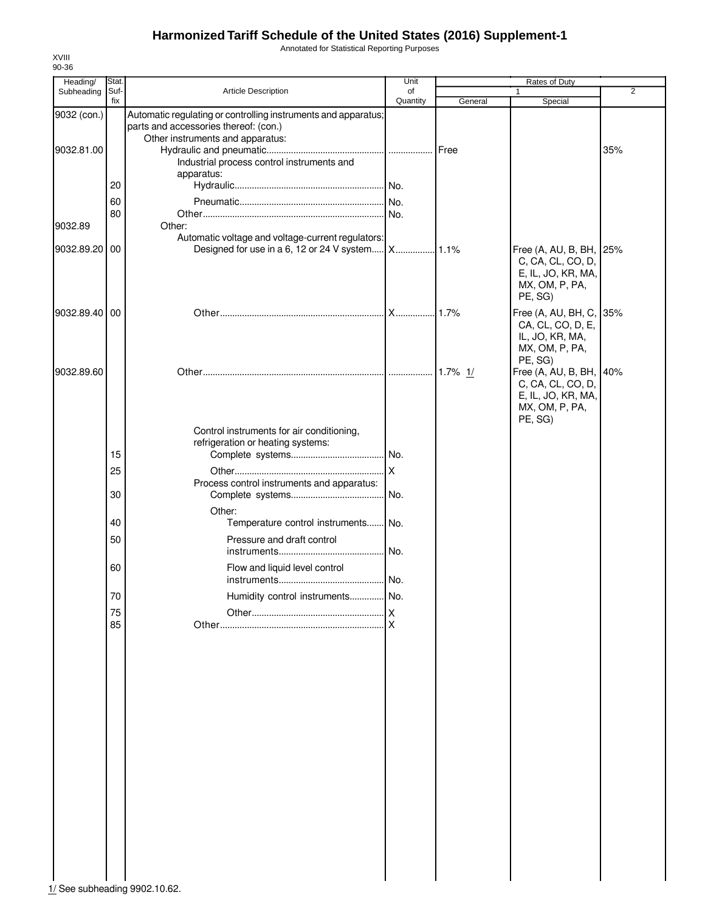Annotated for Statistical Reporting Purposes

| Heading/<br>Subheading | <b>Stat</b><br>Suf- | Article Description                                                                                                                         | Unit<br>of |           | Rates of Duty                                                                                   | $\overline{2}$ |
|------------------------|---------------------|---------------------------------------------------------------------------------------------------------------------------------------------|------------|-----------|-------------------------------------------------------------------------------------------------|----------------|
|                        | fix                 |                                                                                                                                             | Quantity   | General   | Special                                                                                         |                |
| 9032 (con.)            |                     | Automatic regulating or controlling instruments and apparatus;<br>parts and accessories thereof: (con.)<br>Other instruments and apparatus: |            |           |                                                                                                 |                |
| 9032.81.00             |                     | Industrial process control instruments and<br>apparatus:                                                                                    |            | Free      |                                                                                                 | 35%            |
|                        | 20                  |                                                                                                                                             |            |           |                                                                                                 |                |
|                        | 60                  |                                                                                                                                             |            |           |                                                                                                 |                |
|                        | 80                  |                                                                                                                                             | I No.      |           |                                                                                                 |                |
| 9032.89                |                     | Other:                                                                                                                                      |            |           |                                                                                                 |                |
|                        |                     | Automatic voltage and voltage-current regulators:                                                                                           |            |           |                                                                                                 |                |
| 9032.89.20             | 00                  | Designed for use in a 6, 12 or 24 V system X                                                                                                |            | .1.1%     | Free (A, AU, B, BH, 25%<br>C, CA, CL, CO, D,<br>E, IL, JO, KR, MA,<br>MX, OM, P, PA,<br>PE, SG) |                |
| 9032.89.40             | 00                  |                                                                                                                                             |            | .1.7%     | Free (A, AU, BH, C,<br>CA, CL, CO, D, E,<br>IL, JO, KR, MA,<br>MX, OM, P, PA,<br>PE, SG)        | 35%            |
| 9032.89.60             |                     |                                                                                                                                             |            | 1.7% $1/$ | Free (A, AU, B, BH, 40%<br>C, CA, CL, CO, D,<br>E, IL, JO, KR, MA,<br>MX, OM, P, PA,<br>PE, SG) |                |
|                        |                     | Control instruments for air conditioning,<br>refrigeration or heating systems:                                                              |            |           |                                                                                                 |                |
|                        | 15                  |                                                                                                                                             |            |           |                                                                                                 |                |
|                        | 25                  |                                                                                                                                             |            |           |                                                                                                 |                |
|                        | 30                  | Process control instruments and apparatus:                                                                                                  | No.        |           |                                                                                                 |                |
|                        |                     | Other:                                                                                                                                      |            |           |                                                                                                 |                |
|                        | 40                  | Temperature control instruments No.                                                                                                         |            |           |                                                                                                 |                |
|                        | 50                  | Pressure and draft control                                                                                                                  | No.        |           |                                                                                                 |                |
|                        | 60                  | Flow and liquid level control                                                                                                               | No.        |           |                                                                                                 |                |
|                        | 70                  | Humidity control instruments                                                                                                                | No.        |           |                                                                                                 |                |
|                        | 75                  |                                                                                                                                             |            |           |                                                                                                 |                |
|                        | 85                  |                                                                                                                                             | X          |           |                                                                                                 |                |
|                        |                     |                                                                                                                                             |            |           |                                                                                                 |                |

XVIII 90-36

1/ See subheading 9902.10.62.